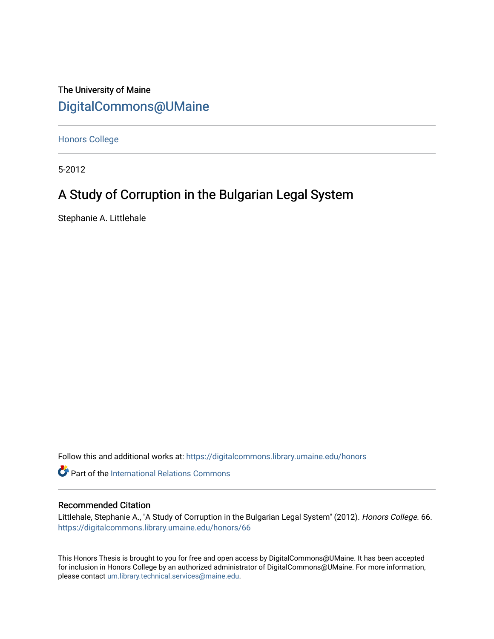The University of Maine [DigitalCommons@UMaine](https://digitalcommons.library.umaine.edu/)

[Honors College](https://digitalcommons.library.umaine.edu/honors)

5-2012

# A Study of Corruption in the Bulgarian Legal System

Stephanie A. Littlehale

Follow this and additional works at: [https://digitalcommons.library.umaine.edu/honors](https://digitalcommons.library.umaine.edu/honors?utm_source=digitalcommons.library.umaine.edu%2Fhonors%2F66&utm_medium=PDF&utm_campaign=PDFCoverPages) 

Part of the [International Relations Commons](http://network.bepress.com/hgg/discipline/389?utm_source=digitalcommons.library.umaine.edu%2Fhonors%2F66&utm_medium=PDF&utm_campaign=PDFCoverPages) 

## Recommended Citation

Littlehale, Stephanie A., "A Study of Corruption in the Bulgarian Legal System" (2012). Honors College. 66. [https://digitalcommons.library.umaine.edu/honors/66](https://digitalcommons.library.umaine.edu/honors/66?utm_source=digitalcommons.library.umaine.edu%2Fhonors%2F66&utm_medium=PDF&utm_campaign=PDFCoverPages) 

This Honors Thesis is brought to you for free and open access by DigitalCommons@UMaine. It has been accepted for inclusion in Honors College by an authorized administrator of DigitalCommons@UMaine. For more information, please contact [um.library.technical.services@maine.edu.](mailto:um.library.technical.services@maine.edu)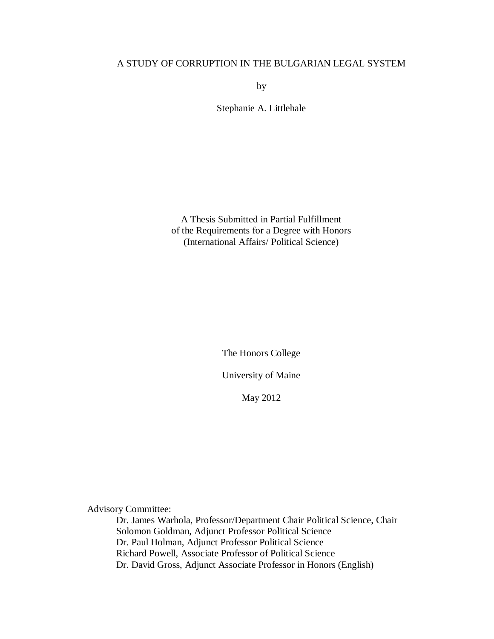## A STUDY OF CORRUPTION IN THE BULGARIAN LEGAL SYSTEM

by

Stephanie A. Littlehale

A Thesis Submitted in Partial Fulfillment of the Requirements for a Degree with Honors (International Affairs/ Political Science)

The Honors College

University of Maine

May 2012

Advisory Committee:

Dr. James Warhola, Professor/Department Chair Political Science, Chair Solomon Goldman, Adjunct Professor Political Science Dr. Paul Holman, Adjunct Professor Political Science Richard Powell, Associate Professor of Political Science Dr. David Gross, Adjunct Associate Professor in Honors (English)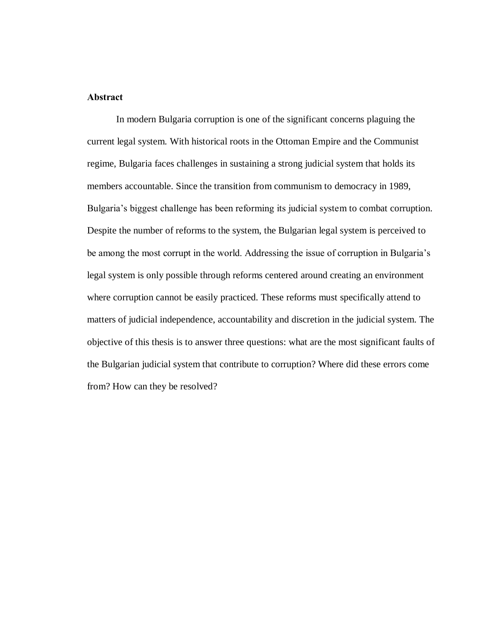## **Abstract**

In modern Bulgaria corruption is one of the significant concerns plaguing the current legal system. With historical roots in the Ottoman Empire and the Communist regime, Bulgaria faces challenges in sustaining a strong judicial system that holds its members accountable. Since the transition from communism to democracy in 1989, Bulgaria's biggest challenge has been reforming its judicial system to combat corruption. Despite the number of reforms to the system, the Bulgarian legal system is perceived to be among the most corrupt in the world. Addressing the issue of corruption in Bulgaria's legal system is only possible through reforms centered around creating an environment where corruption cannot be easily practiced. These reforms must specifically attend to matters of judicial independence, accountability and discretion in the judicial system. The objective of this thesis is to answer three questions: what are the most significant faults of the Bulgarian judicial system that contribute to corruption? Where did these errors come from? How can they be resolved?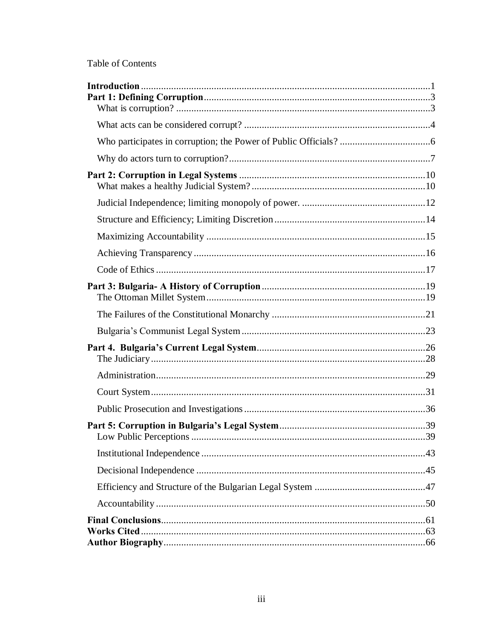# Table of Contents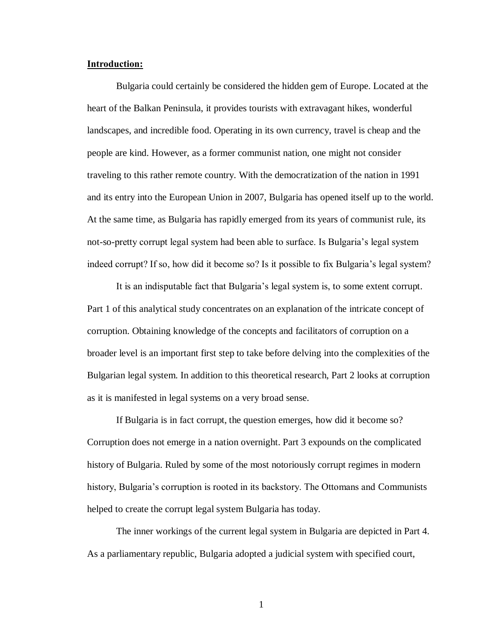## <span id="page-4-0"></span>**Introduction:**

Bulgaria could certainly be considered the hidden gem of Europe. Located at the heart of the Balkan Peninsula, it provides tourists with extravagant hikes, wonderful landscapes, and incredible food. Operating in its own currency, travel is cheap and the people are kind. However, as a former communist nation, one might not consider traveling to this rather remote country. With the democratization of the nation in 1991 and its entry into the European Union in 2007, Bulgaria has opened itself up to the world. At the same time, as Bulgaria has rapidly emerged from its years of communist rule, its not-so-pretty corrupt legal system had been able to surface. Is Bulgaria's legal system indeed corrupt? If so, how did it become so? Is it possible to fix Bulgaria's legal system?

It is an indisputable fact that Bulgaria's legal system is, to some extent corrupt. Part 1 of this analytical study concentrates on an explanation of the intricate concept of corruption. Obtaining knowledge of the concepts and facilitators of corruption on a broader level is an important first step to take before delving into the complexities of the Bulgarian legal system. In addition to this theoretical research, Part 2 looks at corruption as it is manifested in legal systems on a very broad sense.

If Bulgaria is in fact corrupt, the question emerges, how did it become so? Corruption does not emerge in a nation overnight. Part 3 expounds on the complicated history of Bulgaria. Ruled by some of the most notoriously corrupt regimes in modern history, Bulgaria's corruption is rooted in its backstory. The Ottomans and Communists helped to create the corrupt legal system Bulgaria has today.

The inner workings of the current legal system in Bulgaria are depicted in Part 4. As a parliamentary republic, Bulgaria adopted a judicial system with specified court,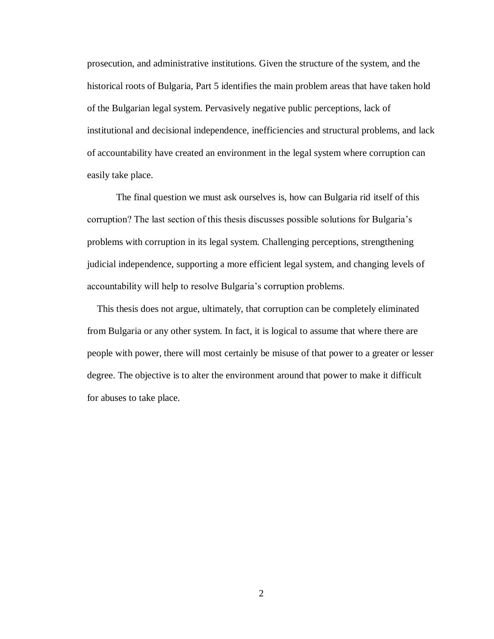prosecution, and administrative institutions. Given the structure of the system, and the historical roots of Bulgaria, Part 5 identifies the main problem areas that have taken hold of the Bulgarian legal system. Pervasively negative public perceptions, lack of institutional and decisional independence, inefficiencies and structural problems, and lack of accountability have created an environment in the legal system where corruption can easily take place.

The final question we must ask ourselves is, how can Bulgaria rid itself of this corruption? The last section of this thesis discusses possible solutions for Bulgaria's problems with corruption in its legal system. Challenging perceptions, strengthening judicial independence, supporting a more efficient legal system, and changing levels of accountability will help to resolve Bulgaria's corruption problems.

 This thesis does not argue, ultimately, that corruption can be completely eliminated from Bulgaria or any other system. In fact, it is logical to assume that where there are people with power, there will most certainly be misuse of that power to a greater or lesser degree. The objective is to alter the environment around that power to make it difficult for abuses to take place.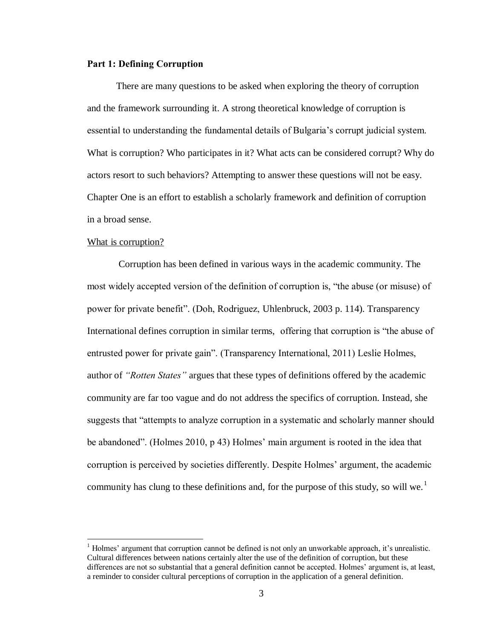## <span id="page-6-0"></span>**Part 1: Defining Corruption**

There are many questions to be asked when exploring the theory of corruption and the framework surrounding it. A strong theoretical knowledge of corruption is essential to understanding the fundamental details of Bulgaria's corrupt judicial system. What is corruption? Who participates in it? What acts can be considered corrupt? Why do actors resort to such behaviors? Attempting to answer these questions will not be easy. Chapter One is an effort to establish a scholarly framework and definition of corruption in a broad sense.

#### <span id="page-6-1"></span>What is corruption?

 $\overline{a}$ 

Corruption has been defined in various ways in the academic community. The most widely accepted version of the definition of corruption is, "the abuse (or misuse) of power for private benefit". (Doh, Rodriguez, Uhlenbruck, 2003 p. 114). Transparency International defines corruption in similar terms, offering that corruption is "the abuse of entrusted power for private gain". (Transparency International, 2011) Leslie Holmes, author of *"Rotten States"* argues that these types of definitions offered by the academic community are far too vague and do not address the specifics of corruption. Instead, she suggests that "attempts to analyze corruption in a systematic and scholarly manner should be abandoned". (Holmes 2010, p 43) Holmes' main argument is rooted in the idea that corruption is perceived by societies differently. Despite Holmes' argument, the academic community has clung to these definitions and, for the purpose of this study, so will we.<sup>1</sup>

 $<sup>1</sup>$  Holmes' argument that corruption cannot be defined is not only an unworkable approach, it's unrealistic.</sup> Cultural differences between nations certainly alter the use of the definition of corruption, but these differences are not so substantial that a general definition cannot be accepted. Holmes' argument is, at least, a reminder to consider cultural perceptions of corruption in the application of a general definition.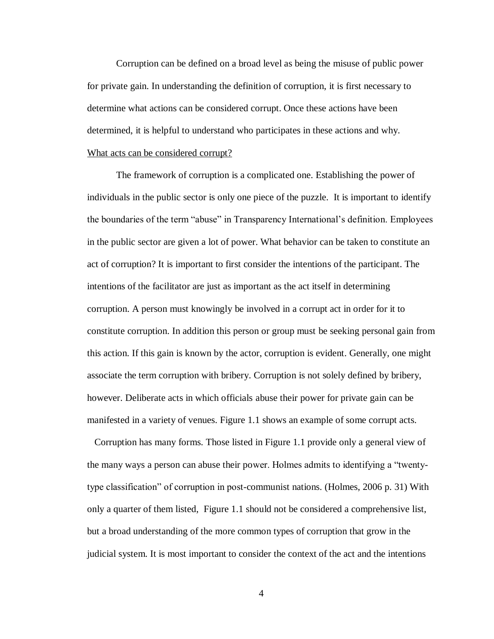Corruption can be defined on a broad level as being the misuse of public power for private gain. In understanding the definition of corruption, it is first necessary to determine what actions can be considered corrupt. Once these actions have been determined, it is helpful to understand who participates in these actions and why. What acts can be considered corrupt?

<span id="page-7-0"></span>The framework of corruption is a complicated one. Establishing the power of individuals in the public sector is only one piece of the puzzle. It is important to identify the boundaries of the term "abuse" in Transparency International's definition. Employees in the public sector are given a lot of power. What behavior can be taken to constitute an act of corruption? It is important to first consider the intentions of the participant. The intentions of the facilitator are just as important as the act itself in determining corruption. A person must knowingly be involved in a corrupt act in order for it to constitute corruption. In addition this person or group must be seeking personal gain from this action. If this gain is known by the actor, corruption is evident. Generally, one might associate the term corruption with bribery. Corruption is not solely defined by bribery, however. Deliberate acts in which officials abuse their power for private gain can be manifested in a variety of venues. Figure 1.1 shows an example of some corrupt acts.

 Corruption has many forms. Those listed in Figure 1.1 provide only a general view of the many ways a person can abuse their power. Holmes admits to identifying a "twentytype classification" of corruption in post-communist nations. (Holmes, 2006 p. 31) With only a quarter of them listed, Figure 1.1 should not be considered a comprehensive list, but a broad understanding of the more common types of corruption that grow in the judicial system. It is most important to consider the context of the act and the intentions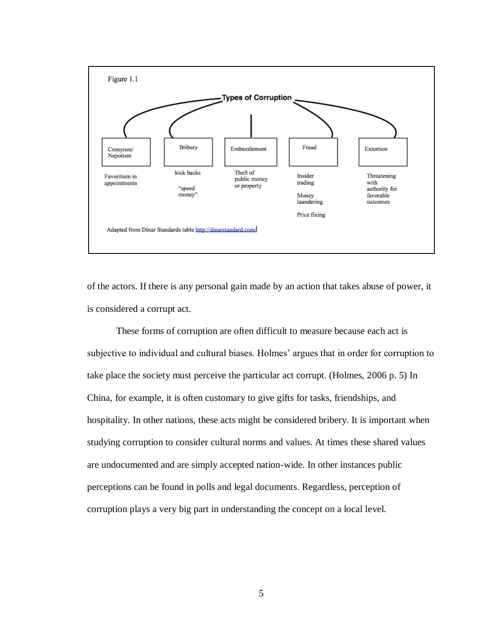

of the actors. If there is any personal gain made by an action that takes abuse of power, it is considered a corrupt act.

These forms of corruption are often difficult to measure because each act is subjective to individual and cultural biases. Holmes' argues that in order for corruption to take place the society must perceive the particular act corrupt. (Holmes, 2006 p. 5) In China, for example, it is often customary to give gifts for tasks, friendships, and hospitality. In other nations, these acts might be considered bribery. It is important when studying corruption to consider cultural norms and values. At times these shared values are undocumented and are simply accepted nation-wide. In other instances public perceptions can be found in polls and legal documents. Regardless, perception of corruption plays a very big part in understanding the concept on a local level.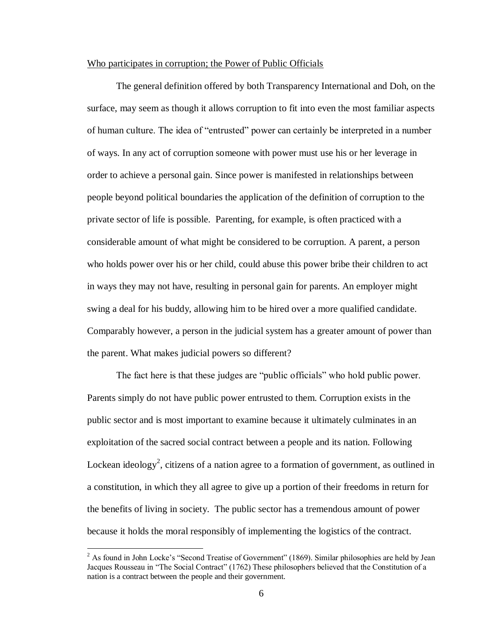## <span id="page-9-0"></span>Who participates in corruption; the Power of Public Officials

The general definition offered by both Transparency International and Doh, on the surface, may seem as though it allows corruption to fit into even the most familiar aspects of human culture. The idea of "entrusted" power can certainly be interpreted in a number of ways. In any act of corruption someone with power must use his or her leverage in order to achieve a personal gain. Since power is manifested in relationships between people beyond political boundaries the application of the definition of corruption to the private sector of life is possible. Parenting, for example, is often practiced with a considerable amount of what might be considered to be corruption. A parent, a person who holds power over his or her child, could abuse this power bribe their children to act in ways they may not have, resulting in personal gain for parents. An employer might swing a deal for his buddy, allowing him to be hired over a more qualified candidate. Comparably however, a person in the judicial system has a greater amount of power than the parent. What makes judicial powers so different?

The fact here is that these judges are "public officials" who hold public power. Parents simply do not have public power entrusted to them. Corruption exists in the public sector and is most important to examine because it ultimately culminates in an exploitation of the sacred social contract between a people and its nation. Following Lockean ideology<sup>2</sup>, citizens of a nation agree to a formation of government, as outlined in a constitution, in which they all agree to give up a portion of their freedoms in return for the benefits of living in society. The public sector has a tremendous amount of power because it holds the moral responsibly of implementing the logistics of the contract.

 $\overline{a}$ 

<sup>&</sup>lt;sup>2</sup> As found in John Locke's "Second Treatise of Government" (1869). Similar philosophies are held by Jean Jacques Rousseau in "The Social Contract" (1762) These philosophers believed that the Constitution of a nation is a contract between the people and their government.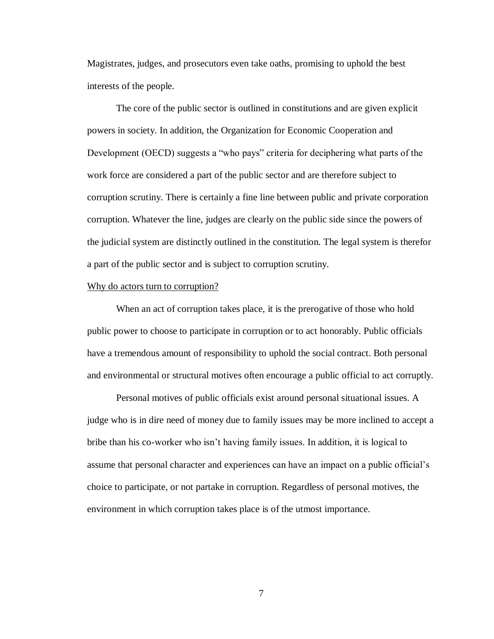Magistrates, judges, and prosecutors even take oaths, promising to uphold the best interests of the people.

The core of the public sector is outlined in constitutions and are given explicit powers in society. In addition, the Organization for Economic Cooperation and Development (OECD) suggests a "who pays" criteria for deciphering what parts of the work force are considered a part of the public sector and are therefore subject to corruption scrutiny. There is certainly a fine line between public and private corporation corruption. Whatever the line, judges are clearly on the public side since the powers of the judicial system are distinctly outlined in the constitution. The legal system is therefor a part of the public sector and is subject to corruption scrutiny.

#### <span id="page-10-0"></span>Why do actors turn to corruption?

When an act of corruption takes place, it is the prerogative of those who hold public power to choose to participate in corruption or to act honorably. Public officials have a tremendous amount of responsibility to uphold the social contract. Both personal and environmental or structural motives often encourage a public official to act corruptly.

Personal motives of public officials exist around personal situational issues. A judge who is in dire need of money due to family issues may be more inclined to accept a bribe than his co-worker who isn't having family issues. In addition, it is logical to assume that personal character and experiences can have an impact on a public official's choice to participate, or not partake in corruption. Regardless of personal motives, the environment in which corruption takes place is of the utmost importance.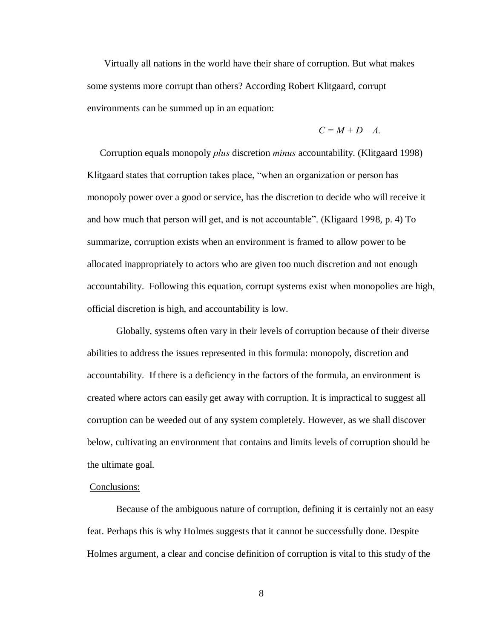Virtually all nations in the world have their share of corruption. But what makes some systems more corrupt than others? According Robert Klitgaard, corrupt environments can be summed up in an equation:

$$
C=M+D-A.
$$

Corruption equals monopoly *plus* discretion *minus* accountability. (Klitgaard 1998) Klitgaard states that corruption takes place, "when an organization or person has monopoly power over a good or service, has the discretion to decide who will receive it and how much that person will get, and is not accountable". (Kligaard 1998, p. 4) To summarize, corruption exists when an environment is framed to allow power to be allocated inappropriately to actors who are given too much discretion and not enough accountability. Following this equation, corrupt systems exist when monopolies are high, official discretion is high, and accountability is low.

Globally, systems often vary in their levels of corruption because of their diverse abilities to address the issues represented in this formula: monopoly, discretion and accountability. If there is a deficiency in the factors of the formula, an environment is created where actors can easily get away with corruption. It is impractical to suggest all corruption can be weeded out of any system completely. However, as we shall discover below, cultivating an environment that contains and limits levels of corruption should be the ultimate goal.

## Conclusions:

Because of the ambiguous nature of corruption, defining it is certainly not an easy feat. Perhaps this is why Holmes suggests that it cannot be successfully done. Despite Holmes argument, a clear and concise definition of corruption is vital to this study of the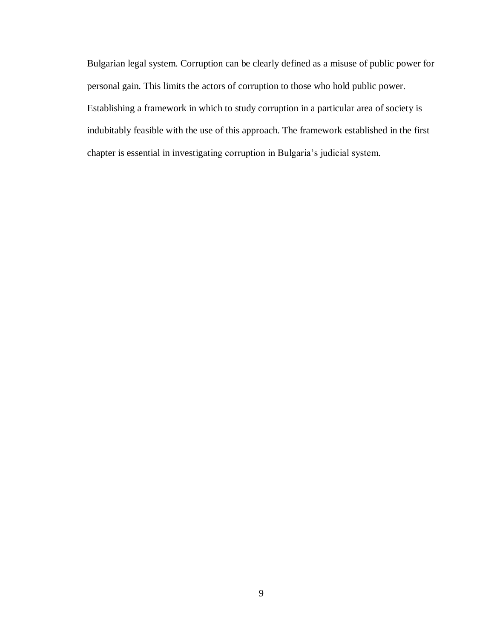Bulgarian legal system. Corruption can be clearly defined as a misuse of public power for personal gain. This limits the actors of corruption to those who hold public power. Establishing a framework in which to study corruption in a particular area of society is indubitably feasible with the use of this approach. The framework established in the first chapter is essential in investigating corruption in Bulgaria's judicial system.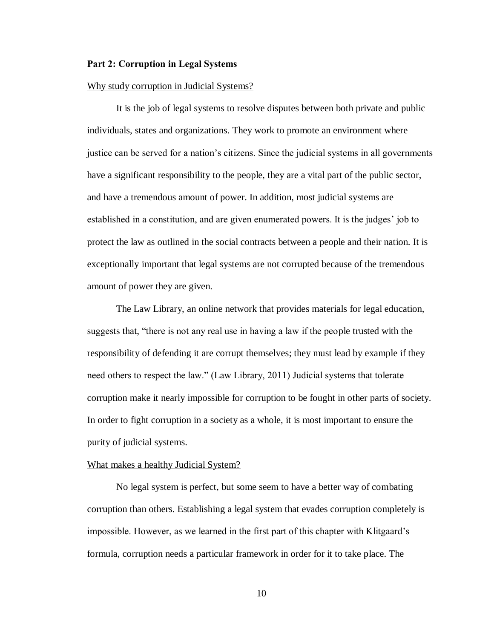#### <span id="page-13-0"></span>**Part 2: Corruption in Legal Systems**

#### Why study corruption in Judicial Systems?

It is the job of legal systems to resolve disputes between both private and public individuals, states and organizations. They work to promote an environment where justice can be served for a nation's citizens. Since the judicial systems in all governments have a significant responsibility to the people, they are a vital part of the public sector, and have a tremendous amount of power. In addition, most judicial systems are established in a constitution, and are given enumerated powers. It is the judges' job to protect the law as outlined in the social contracts between a people and their nation. It is exceptionally important that legal systems are not corrupted because of the tremendous amount of power they are given.

The Law Library, an online network that provides materials for legal education, suggests that, "there is not any real use in having a law if the people trusted with the responsibility of defending it are corrupt themselves; they must lead by example if they need others to respect the law." (Law Library, 2011) Judicial systems that tolerate corruption make it nearly impossible for corruption to be fought in other parts of society. In order to fight corruption in a society as a whole, it is most important to ensure the purity of judicial systems.

#### <span id="page-13-1"></span>What makes a healthy Judicial System?

No legal system is perfect, but some seem to have a better way of combating corruption than others. Establishing a legal system that evades corruption completely is impossible. However, as we learned in the first part of this chapter with Klitgaard's formula, corruption needs a particular framework in order for it to take place. The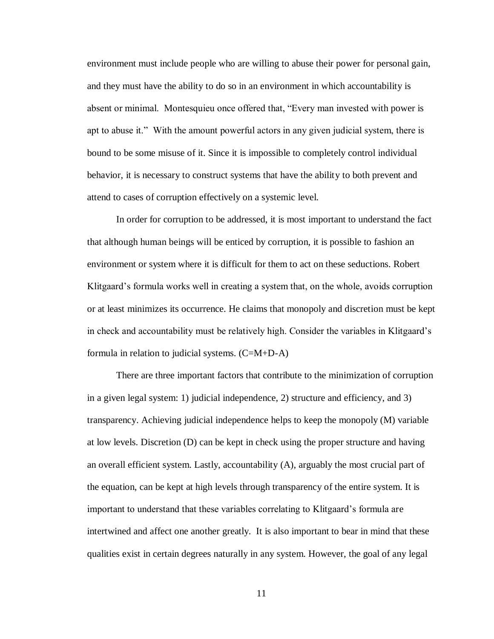environment must include people who are willing to abuse their power for personal gain, and they must have the ability to do so in an environment in which accountability is absent or minimal. Montesquieu once offered that, "Every man invested with power is apt to abuse it." With the amount powerful actors in any given judicial system, there is bound to be some misuse of it. Since it is impossible to completely control individual behavior, it is necessary to construct systems that have the ability to both prevent and attend to cases of corruption effectively on a systemic level.

In order for corruption to be addressed, it is most important to understand the fact that although human beings will be enticed by corruption, it is possible to fashion an environment or system where it is difficult for them to act on these seductions. Robert Klitgaard's formula works well in creating a system that, on the whole, avoids corruption or at least minimizes its occurrence. He claims that monopoly and discretion must be kept in check and accountability must be relatively high. Consider the variables in Klitgaard's formula in relation to judicial systems.  $(C=M+D-A)$ 

There are three important factors that contribute to the minimization of corruption in a given legal system: 1) judicial independence, 2) structure and efficiency, and 3) transparency. Achieving judicial independence helps to keep the monopoly (M) variable at low levels. Discretion (D) can be kept in check using the proper structure and having an overall efficient system. Lastly, accountability (A), arguably the most crucial part of the equation, can be kept at high levels through transparency of the entire system. It is important to understand that these variables correlating to Klitgaard's formula are intertwined and affect one another greatly. It is also important to bear in mind that these qualities exist in certain degrees naturally in any system. However, the goal of any legal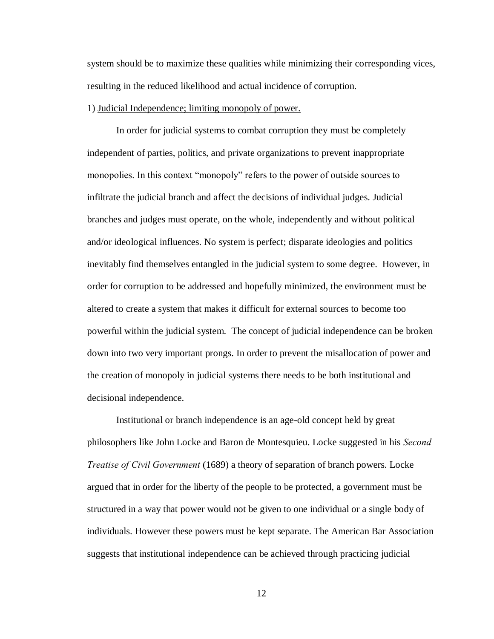system should be to maximize these qualities while minimizing their corresponding vices, resulting in the reduced likelihood and actual incidence of corruption.

#### <span id="page-15-0"></span>1) Judicial Independence; limiting monopoly of power.

In order for judicial systems to combat corruption they must be completely independent of parties, politics, and private organizations to prevent inappropriate monopolies. In this context "monopoly" refers to the power of outside sources to infiltrate the judicial branch and affect the decisions of individual judges. Judicial branches and judges must operate, on the whole, independently and without political and/or ideological influences. No system is perfect; disparate ideologies and politics inevitably find themselves entangled in the judicial system to some degree. However, in order for corruption to be addressed and hopefully minimized, the environment must be altered to create a system that makes it difficult for external sources to become too powerful within the judicial system. The concept of judicial independence can be broken down into two very important prongs. In order to prevent the misallocation of power and the creation of monopoly in judicial systems there needs to be both institutional and decisional independence.

Institutional or branch independence is an age-old concept held by great philosophers like John Locke and Baron de Montesquieu. Locke suggested in his *Second Treatise of Civil Government* (1689) a theory of separation of branch powers. Locke argued that in order for the liberty of the people to be protected, a government must be structured in a way that power would not be given to one individual or a single body of individuals. However these powers must be kept separate. The American Bar Association suggests that institutional independence can be achieved through practicing judicial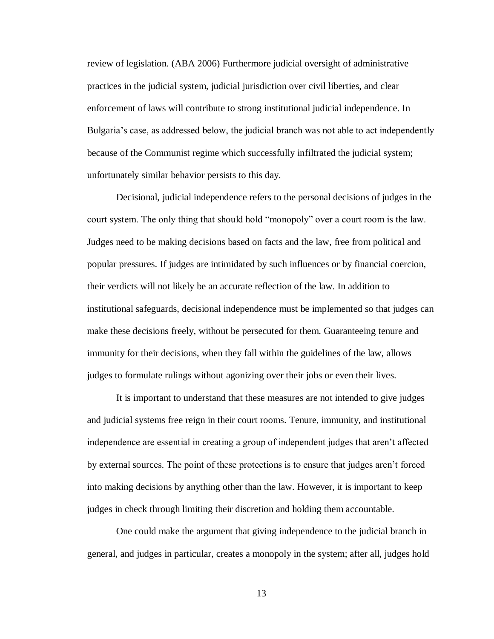review of legislation. (ABA 2006) Furthermore judicial oversight of administrative practices in the judicial system, judicial jurisdiction over civil liberties, and clear enforcement of laws will contribute to strong institutional judicial independence. In Bulgaria's case, as addressed below, the judicial branch was not able to act independently because of the Communist regime which successfully infiltrated the judicial system; unfortunately similar behavior persists to this day.

Decisional, judicial independence refers to the personal decisions of judges in the court system. The only thing that should hold "monopoly" over a court room is the law. Judges need to be making decisions based on facts and the law, free from political and popular pressures. If judges are intimidated by such influences or by financial coercion, their verdicts will not likely be an accurate reflection of the law. In addition to institutional safeguards, decisional independence must be implemented so that judges can make these decisions freely, without be persecuted for them. Guaranteeing tenure and immunity for their decisions, when they fall within the guidelines of the law, allows judges to formulate rulings without agonizing over their jobs or even their lives.

It is important to understand that these measures are not intended to give judges and judicial systems free reign in their court rooms. Tenure, immunity, and institutional independence are essential in creating a group of independent judges that aren't affected by external sources. The point of these protections is to ensure that judges aren't forced into making decisions by anything other than the law. However, it is important to keep judges in check through limiting their discretion and holding them accountable.

One could make the argument that giving independence to the judicial branch in general, and judges in particular, creates a monopoly in the system; after all, judges hold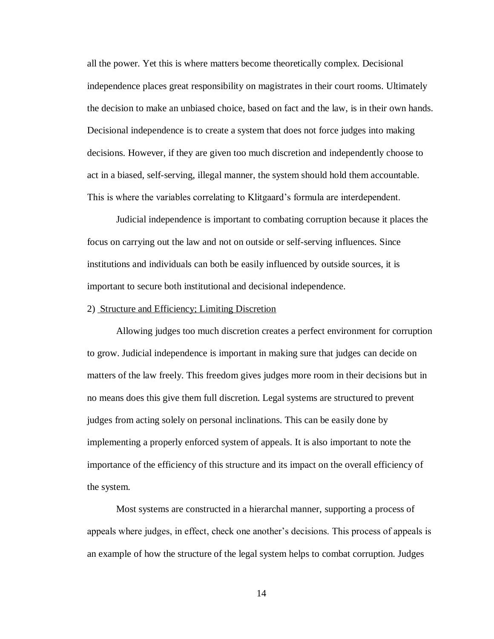all the power. Yet this is where matters become theoretically complex. Decisional independence places great responsibility on magistrates in their court rooms. Ultimately the decision to make an unbiased choice, based on fact and the law, is in their own hands. Decisional independence is to create a system that does not force judges into making decisions. However, if they are given too much discretion and independently choose to act in a biased, self-serving, illegal manner, the system should hold them accountable. This is where the variables correlating to Klitgaard's formula are interdependent.

Judicial independence is important to combating corruption because it places the focus on carrying out the law and not on outside or self-serving influences. Since institutions and individuals can both be easily influenced by outside sources, it is important to secure both institutional and decisional independence.

#### <span id="page-17-0"></span>2) Structure and Efficiency; Limiting Discretion

Allowing judges too much discretion creates a perfect environment for corruption to grow. Judicial independence is important in making sure that judges can decide on matters of the law freely. This freedom gives judges more room in their decisions but in no means does this give them full discretion. Legal systems are structured to prevent judges from acting solely on personal inclinations. This can be easily done by implementing a properly enforced system of appeals. It is also important to note the importance of the efficiency of this structure and its impact on the overall efficiency of the system.

Most systems are constructed in a hierarchal manner, supporting a process of appeals where judges, in effect, check one another's decisions. This process of appeals is an example of how the structure of the legal system helps to combat corruption. Judges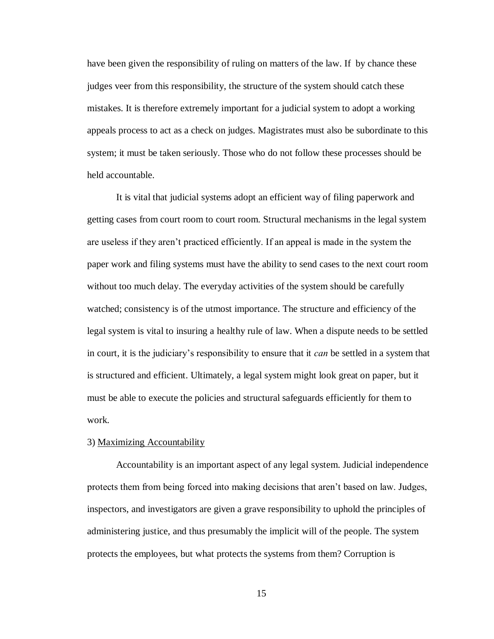have been given the responsibility of ruling on matters of the law. If by chance these judges veer from this responsibility, the structure of the system should catch these mistakes. It is therefore extremely important for a judicial system to adopt a working appeals process to act as a check on judges. Magistrates must also be subordinate to this system; it must be taken seriously. Those who do not follow these processes should be held accountable.

It is vital that judicial systems adopt an efficient way of filing paperwork and getting cases from court room to court room. Structural mechanisms in the legal system are useless if they aren't practiced efficiently. If an appeal is made in the system the paper work and filing systems must have the ability to send cases to the next court room without too much delay. The everyday activities of the system should be carefully watched; consistency is of the utmost importance. The structure and efficiency of the legal system is vital to insuring a healthy rule of law. When a dispute needs to be settled in court, it is the judiciary's responsibility to ensure that it *can* be settled in a system that is structured and efficient. Ultimately, a legal system might look great on paper, but it must be able to execute the policies and structural safeguards efficiently for them to work.

#### <span id="page-18-0"></span>3) Maximizing Accountability

Accountability is an important aspect of any legal system. Judicial independence protects them from being forced into making decisions that aren't based on law. Judges, inspectors, and investigators are given a grave responsibility to uphold the principles of administering justice, and thus presumably the implicit will of the people. The system protects the employees, but what protects the systems from them? Corruption is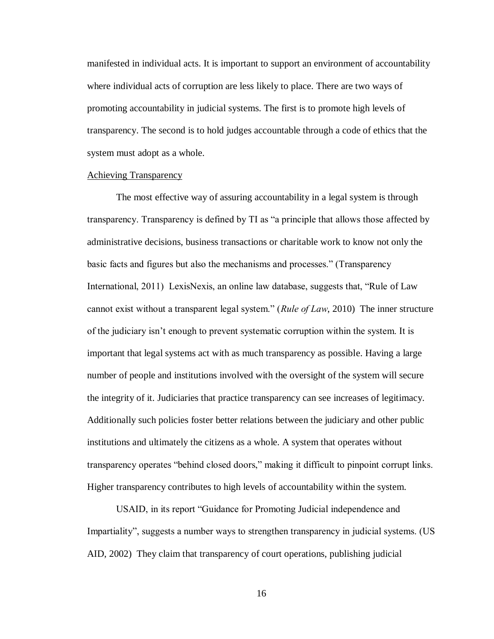manifested in individual acts. It is important to support an environment of accountability where individual acts of corruption are less likely to place. There are two ways of promoting accountability in judicial systems. The first is to promote high levels of transparency. The second is to hold judges accountable through a code of ethics that the system must adopt as a whole.

#### <span id="page-19-0"></span>Achieving Transparency

The most effective way of assuring accountability in a legal system is through transparency. Transparency is defined by TI as "a principle that allows those affected by administrative decisions, business transactions or charitable work to know not only the basic facts and figures but also the mechanisms and processes." (Transparency International, 2011) LexisNexis, an online law database, suggests that, "Rule of Law cannot exist without a transparent legal system." (*Rule of Law*, 2010) The inner structure of the judiciary isn't enough to prevent systematic corruption within the system. It is important that legal systems act with as much transparency as possible. Having a large number of people and institutions involved with the oversight of the system will secure the integrity of it. Judiciaries that practice transparency can see increases of legitimacy. Additionally such policies foster better relations between the judiciary and other public institutions and ultimately the citizens as a whole. A system that operates without transparency operates "behind closed doors," making it difficult to pinpoint corrupt links. Higher transparency contributes to high levels of accountability within the system.

USAID, in its report "Guidance for Promoting Judicial independence and Impartiality", suggests a number ways to strengthen transparency in judicial systems. (US AID, 2002) They claim that transparency of court operations, publishing judicial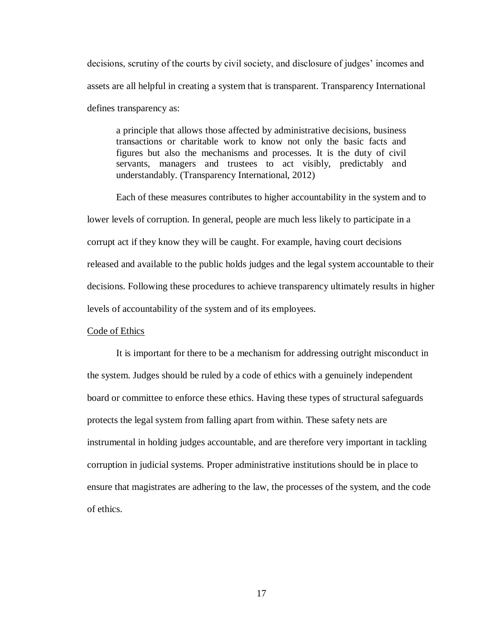decisions, scrutiny of the courts by civil society, and disclosure of judges' incomes and assets are all helpful in creating a system that is transparent. Transparency International defines transparency as:

a principle that allows those affected by administrative decisions, business transactions or charitable work to know not only the basic facts and figures but also the mechanisms and processes. It is the duty of civil servants, managers and trustees to act visibly, predictably and understandably. (Transparency International, 2012)

Each of these measures contributes to higher accountability in the system and to lower levels of corruption. In general, people are much less likely to participate in a corrupt act if they know they will be caught. For example, having court decisions released and available to the public holds judges and the legal system accountable to their decisions. Following these procedures to achieve transparency ultimately results in higher levels of accountability of the system and of its employees.

## <span id="page-20-0"></span>Code of Ethics

It is important for there to be a mechanism for addressing outright misconduct in the system. Judges should be ruled by a code of ethics with a genuinely independent board or committee to enforce these ethics. Having these types of structural safeguards protects the legal system from falling apart from within. These safety nets are instrumental in holding judges accountable, and are therefore very important in tackling corruption in judicial systems. Proper administrative institutions should be in place to ensure that magistrates are adhering to the law, the processes of the system, and the code of ethics.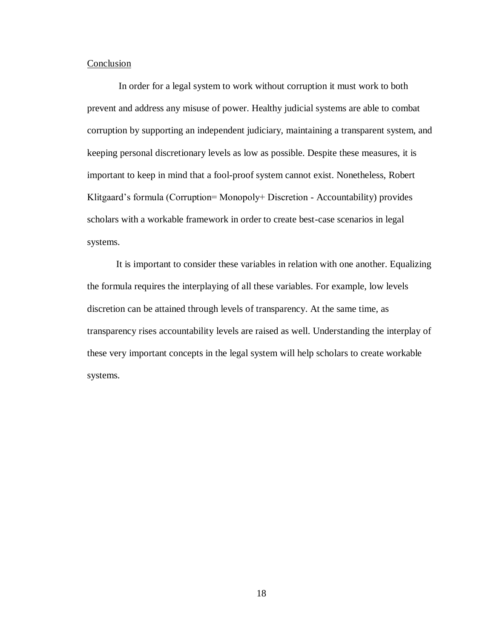## Conclusion

In order for a legal system to work without corruption it must work to both prevent and address any misuse of power. Healthy judicial systems are able to combat corruption by supporting an independent judiciary, maintaining a transparent system, and keeping personal discretionary levels as low as possible. Despite these measures, it is important to keep in mind that a fool-proof system cannot exist. Nonetheless, Robert Klitgaard's formula (Corruption= Monopoly+ Discretion - Accountability) provides scholars with a workable framework in order to create best-case scenarios in legal systems.

It is important to consider these variables in relation with one another. Equalizing the formula requires the interplaying of all these variables. For example, low levels discretion can be attained through levels of transparency. At the same time, as transparency rises accountability levels are raised as well. Understanding the interplay of these very important concepts in the legal system will help scholars to create workable systems.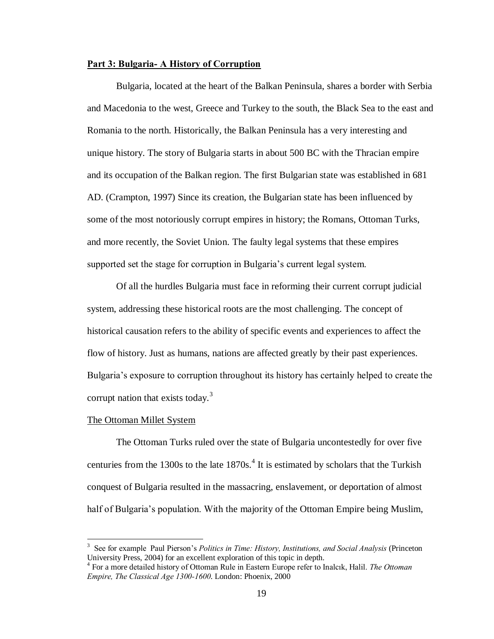## <span id="page-22-0"></span>**Part 3: Bulgaria- A History of Corruption**

Bulgaria, located at the heart of the Balkan Peninsula, shares a border with Serbia and Macedonia to the west, Greece and Turkey to the south, the Black Sea to the east and Romania to the north. Historically, the Balkan Peninsula has a very interesting and unique history. The story of Bulgaria starts in about 500 BC with the Thracian empire and its occupation of the Balkan region. The first Bulgarian state was established in 681 AD. (Crampton, 1997) Since its creation, the Bulgarian state has been influenced by some of the most notoriously corrupt empires in history; the Romans, Ottoman Turks, and more recently, the Soviet Union. The faulty legal systems that these empires supported set the stage for corruption in Bulgaria's current legal system.

Of all the hurdles Bulgaria must face in reforming their current corrupt judicial system, addressing these historical roots are the most challenging. The concept of historical causation refers to the ability of specific events and experiences to affect the flow of history. Just as humans, nations are affected greatly by their past experiences. Bulgaria's exposure to corruption throughout its history has certainly helped to create the corrupt nation that exists today. $3$ 

#### <span id="page-22-1"></span>The Ottoman Millet System

 $\overline{a}$ 

The Ottoman Turks ruled over the state of Bulgaria uncontestedly for over five centuries from the 1300s to the late  $1870s<sup>4</sup>$ . It is estimated by scholars that the Turkish conquest of Bulgaria resulted in the massacring, enslavement, or deportation of almost half of Bulgaria's population. With the majority of the Ottoman Empire being Muslim,

<sup>3</sup> See for example Paul Pierson's *Politics in Time: History, Institutions, and Social Analysis* (Princeton University Press, 2004) for an excellent exploration of this topic in depth.

<sup>4</sup> For a more detailed history of Ottoman Rule in Eastern Europe refer to Inalcık, Halil. *The Ottoman Empire, The Classical Age 1300-1600*. London: Phoenix, 2000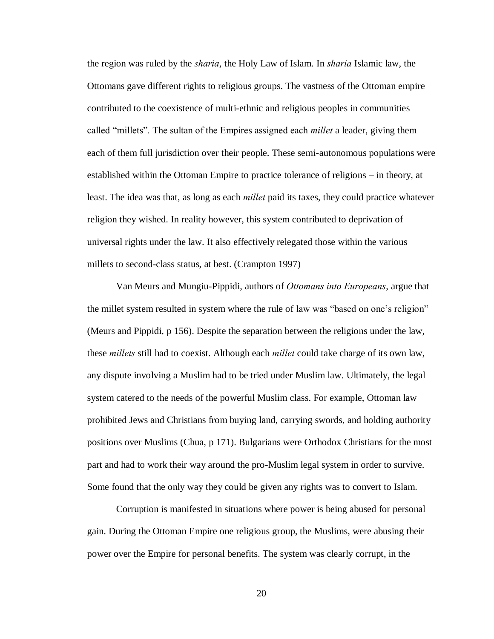the region was ruled by the *sharia*, the Holy Law of Islam. In *sharia* Islamic law, the Ottomans gave different rights to religious groups. The vastness of the Ottoman empire contributed to the coexistence of multi-ethnic and religious peoples in communities called "millets". The sultan of the Empires assigned each *millet* a leader, giving them each of them full jurisdiction over their people. These semi-autonomous populations were established within the Ottoman Empire to practice tolerance of religions – in theory, at least. The idea was that, as long as each *millet* paid its taxes, they could practice whatever religion they wished. In reality however, this system contributed to deprivation of universal rights under the law. It also effectively relegated those within the various millets to second-class status, at best. (Crampton 1997)

Van Meurs and Mungiu-Pippidi, authors of *Ottomans into Europeans*, argue that the millet system resulted in system where the rule of law was "based on one's religion" (Meurs and Pippidi, p 156). Despite the separation between the religions under the law, these *millets* still had to coexist. Although each *millet* could take charge of its own law, any dispute involving a Muslim had to be tried under Muslim law. Ultimately, the legal system catered to the needs of the powerful Muslim class. For example, Ottoman law prohibited Jews and Christians from buying land, carrying swords, and holding authority positions over Muslims (Chua, p 171). Bulgarians were Orthodox Christians for the most part and had to work their way around the pro-Muslim legal system in order to survive. Some found that the only way they could be given any rights was to convert to Islam.

Corruption is manifested in situations where power is being abused for personal gain. During the Ottoman Empire one religious group, the Muslims, were abusing their power over the Empire for personal benefits. The system was clearly corrupt, in the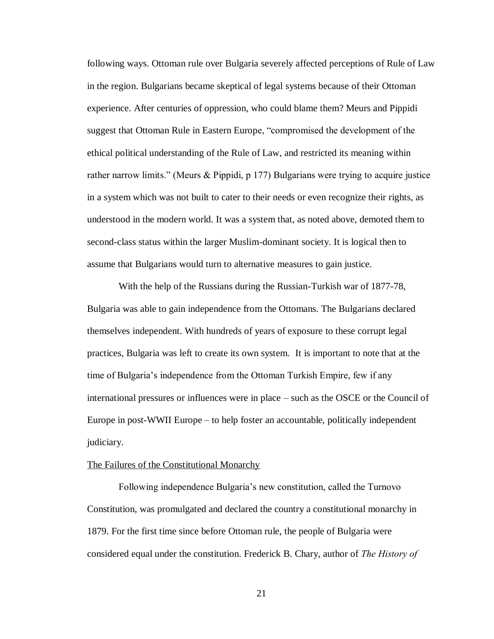following ways. Ottoman rule over Bulgaria severely affected perceptions of Rule of Law in the region. Bulgarians became skeptical of legal systems because of their Ottoman experience. After centuries of oppression, who could blame them? Meurs and Pippidi suggest that Ottoman Rule in Eastern Europe, "compromised the development of the ethical political understanding of the Rule of Law, and restricted its meaning within rather narrow limits." (Meurs & Pippidi, p 177) Bulgarians were trying to acquire justice in a system which was not built to cater to their needs or even recognize their rights, as understood in the modern world. It was a system that, as noted above, demoted them to second-class status within the larger Muslim-dominant society. It is logical then to assume that Bulgarians would turn to alternative measures to gain justice.

With the help of the Russians during the Russian-Turkish war of 1877-78, Bulgaria was able to gain independence from the Ottomans. The Bulgarians declared themselves independent. With hundreds of years of exposure to these corrupt legal practices, Bulgaria was left to create its own system. It is important to note that at the time of Bulgaria's independence from the Ottoman Turkish Empire, few if any international pressures or influences were in place – such as the OSCE or the Council of Europe in post-WWII Europe – to help foster an accountable, politically independent judiciary.

#### <span id="page-24-0"></span>The Failures of the Constitutional Monarchy

Following independence Bulgaria's new constitution, called the Turnovo Constitution, was promulgated and declared the country a constitutional monarchy in 1879. For the first time since before Ottoman rule, the people of Bulgaria were considered equal under the constitution. Frederick B. Chary, author of *The History of*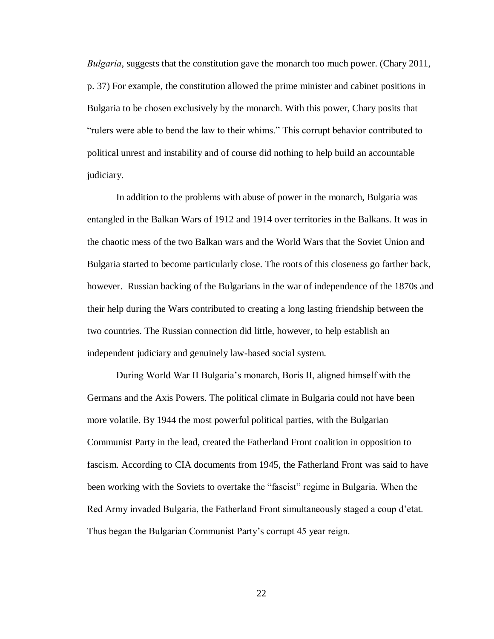*Bulgaria*, suggests that the constitution gave the monarch too much power. (Chary 2011, p. 37) For example, the constitution allowed the prime minister and cabinet positions in Bulgaria to be chosen exclusively by the monarch. With this power, Chary posits that "rulers were able to bend the law to their whims." This corrupt behavior contributed to political unrest and instability and of course did nothing to help build an accountable judiciary.

In addition to the problems with abuse of power in the monarch, Bulgaria was entangled in the Balkan Wars of 1912 and 1914 over territories in the Balkans. It was in the chaotic mess of the two Balkan wars and the World Wars that the Soviet Union and Bulgaria started to become particularly close. The roots of this closeness go farther back, however. Russian backing of the Bulgarians in the war of independence of the 1870s and their help during the Wars contributed to creating a long lasting friendship between the two countries. The Russian connection did little, however, to help establish an independent judiciary and genuinely law-based social system.

During World War II Bulgaria's monarch, Boris II, aligned himself with the Germans and the Axis Powers. The political climate in Bulgaria could not have been more volatile. By 1944 the most powerful political parties, with the Bulgarian Communist Party in the lead, created the Fatherland Front coalition in opposition to fascism. According to CIA documents from 1945, the Fatherland Front was said to have been working with the Soviets to overtake the "fascist" regime in Bulgaria. When the Red Army invaded Bulgaria, the Fatherland Front simultaneously staged a coup d'etat. Thus began the Bulgarian Communist Party's corrupt 45 year reign.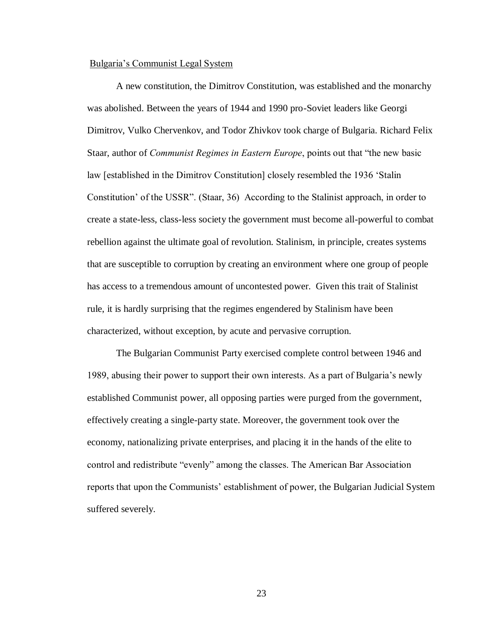#### <span id="page-26-0"></span>Bulgaria's Communist Legal System

A new constitution, the Dimitrov Constitution, was established and the monarchy was abolished. Between the years of 1944 and 1990 pro-Soviet leaders like Georgi Dimitrov, Vulko Chervenkov, and Todor Zhivkov took charge of Bulgaria. Richard Felix Staar, author of *Communist Regimes in Eastern Europe*, points out that "the new basic law [established in the Dimitrov Constitution] closely resembled the 1936 'Stalin Constitution' of the USSR". (Staar, 36) According to the Stalinist approach, in order to create a state-less, class-less society the government must become all-powerful to combat rebellion against the ultimate goal of revolution. Stalinism, in principle, creates systems that are susceptible to corruption by creating an environment where one group of people has access to a tremendous amount of uncontested power. Given this trait of Stalinist rule, it is hardly surprising that the regimes engendered by Stalinism have been characterized, without exception, by acute and pervasive corruption.

The Bulgarian Communist Party exercised complete control between 1946 and 1989, abusing their power to support their own interests. As a part of Bulgaria's newly established Communist power, all opposing parties were purged from the government, effectively creating a single-party state. Moreover, the government took over the economy, nationalizing private enterprises, and placing it in the hands of the elite to control and redistribute "evenly" among the classes. The American Bar Association reports that upon the Communists' establishment of power, the Bulgarian Judicial System suffered severely.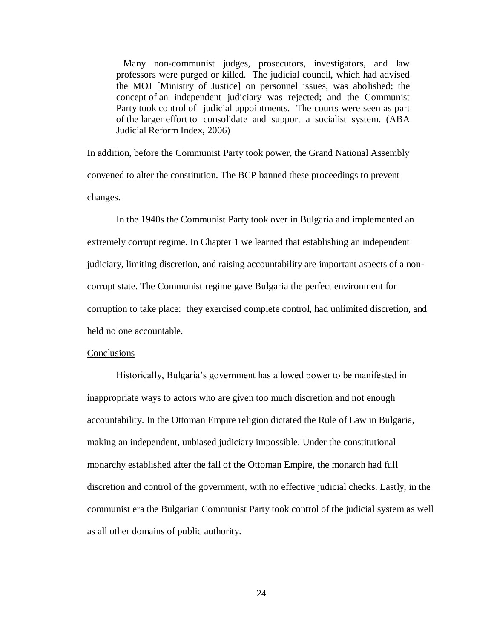Many non-communist judges, prosecutors, investigators, and law professors were purged or killed. The judicial council, which had advised the MOJ [Ministry of Justice] on personnel issues, was abolished; the concept of an independent judiciary was rejected; and the Communist Party took control of judicial appointments. The courts were seen as part of the larger effort to consolidate and support a socialist system. (ABA Judicial Reform Index, 2006)

In addition, before the Communist Party took power, the Grand National Assembly convened to alter the constitution. The BCP banned these proceedings to prevent changes.

In the 1940s the Communist Party took over in Bulgaria and implemented an extremely corrupt regime. In Chapter 1 we learned that establishing an independent judiciary, limiting discretion, and raising accountability are important aspects of a noncorrupt state. The Communist regime gave Bulgaria the perfect environment for corruption to take place: they exercised complete control, had unlimited discretion, and held no one accountable.

#### Conclusions

Historically, Bulgaria's government has allowed power to be manifested in inappropriate ways to actors who are given too much discretion and not enough accountability. In the Ottoman Empire religion dictated the Rule of Law in Bulgaria, making an independent, unbiased judiciary impossible. Under the constitutional monarchy established after the fall of the Ottoman Empire, the monarch had full discretion and control of the government, with no effective judicial checks. Lastly, in the communist era the Bulgarian Communist Party took control of the judicial system as well as all other domains of public authority.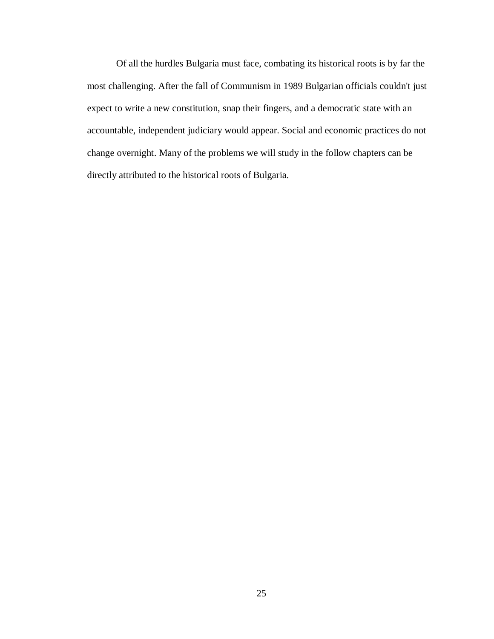Of all the hurdles Bulgaria must face, combating its historical roots is by far the most challenging. After the fall of Communism in 1989 Bulgarian officials couldn't just expect to write a new constitution, snap their fingers, and a democratic state with an accountable, independent judiciary would appear. Social and economic practices do not change overnight. Many of the problems we will study in the follow chapters can be directly attributed to the historical roots of Bulgaria.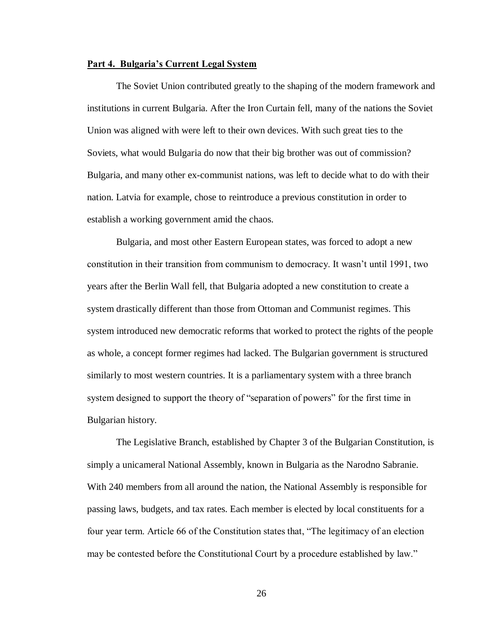#### <span id="page-29-0"></span>**Part 4. Bulgaria's Current Legal System**

The Soviet Union contributed greatly to the shaping of the modern framework and institutions in current Bulgaria. After the Iron Curtain fell, many of the nations the Soviet Union was aligned with were left to their own devices. With such great ties to the Soviets, what would Bulgaria do now that their big brother was out of commission? Bulgaria, and many other ex-communist nations, was left to decide what to do with their nation. Latvia for example, chose to reintroduce a previous constitution in order to establish a working government amid the chaos.

Bulgaria, and most other Eastern European states, was forced to adopt a new constitution in their transition from communism to democracy. It wasn't until 1991, two years after the Berlin Wall fell, that Bulgaria adopted a new constitution to create a system drastically different than those from Ottoman and Communist regimes. This system introduced new democratic reforms that worked to protect the rights of the people as whole, a concept former regimes had lacked. The Bulgarian government is structured similarly to most western countries. It is a parliamentary system with a three branch system designed to support the theory of "separation of powers" for the first time in Bulgarian history.

The Legislative Branch, established by Chapter 3 of the Bulgarian Constitution, is simply a unicameral National Assembly, known in Bulgaria as the Narodno Sabranie. With 240 members from all around the nation, the National Assembly is responsible for passing laws, budgets, and tax rates. Each member is elected by local constituents for a four year term. Article 66 of the Constitution states that, "The legitimacy of an election may be contested before the Constitutional Court by a procedure established by law."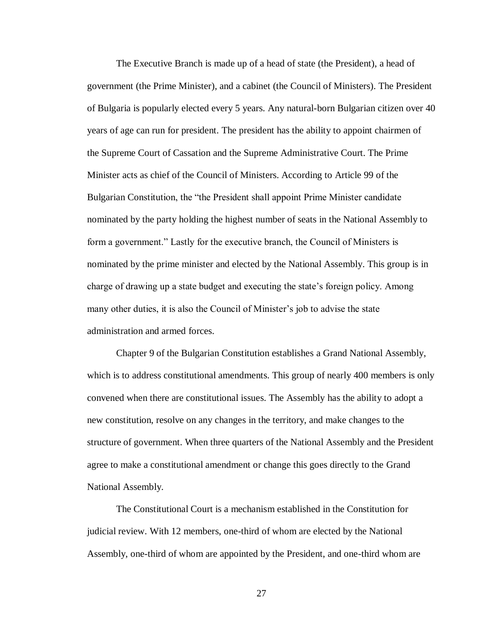The Executive Branch is made up of a head of state (the President), a head of government (the Prime Minister), and a cabinet (the Council of Ministers). The President of Bulgaria is popularly elected every 5 years. Any natural-born Bulgarian citizen over 40 years of age can run for president. The president has the ability to appoint chairmen of the Supreme Court of Cassation and the Supreme Administrative Court. The Prime Minister acts as chief of the Council of Ministers. According to Article 99 of the Bulgarian Constitution, the "the President shall appoint Prime Minister candidate nominated by the party holding the highest number of seats in the National Assembly to form a government." Lastly for the executive branch, the Council of Ministers is nominated by the prime minister and elected by the National Assembly. This group is in charge of drawing up a state budget and executing the state's foreign policy. Among many other duties, it is also the Council of Minister's job to advise the state administration and armed forces.

Chapter 9 of the Bulgarian Constitution establishes a Grand National Assembly, which is to address constitutional amendments. This group of nearly 400 members is only convened when there are constitutional issues. The Assembly has the ability to adopt a new constitution, resolve on any changes in the territory, and make changes to the structure of government. When three quarters of the National Assembly and the President agree to make a constitutional amendment or change this goes directly to the Grand National Assembly.

The Constitutional Court is a mechanism established in the Constitution for judicial review. With 12 members, one-third of whom are elected by the National Assembly, one-third of whom are appointed by the President, and one-third whom are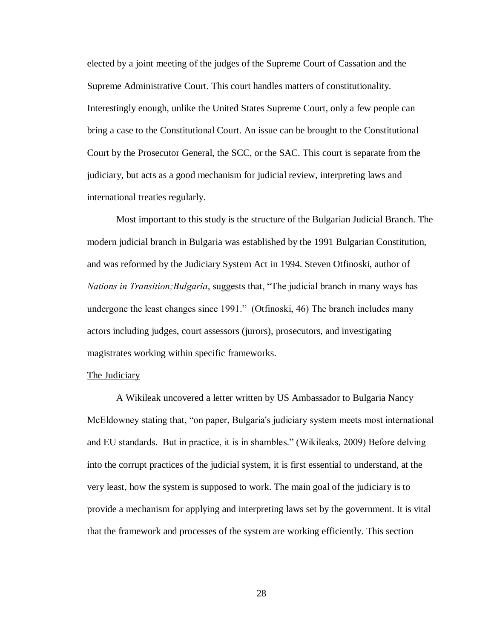elected by a joint meeting of the judges of the Supreme Court of Cassation and the Supreme Administrative Court. This court handles matters of constitutionality. Interestingly enough, unlike the United States Supreme Court, only a few people can bring a case to the Constitutional Court. An issue can be brought to the Constitutional Court by the Prosecutor General, the SCC, or the SAC. This court is separate from the judiciary, but acts as a good mechanism for judicial review, interpreting laws and international treaties regularly.

Most important to this study is the structure of the Bulgarian Judicial Branch. The modern judicial branch in Bulgaria was established by the 1991 Bulgarian Constitution, and was reformed by the Judiciary System Act in 1994. Steven Otfinoski, author of *Nations in Transition;Bulgaria*, suggests that, "The judicial branch in many ways has undergone the least changes since 1991." (Otfinoski, 46) The branch includes many actors including judges, court assessors (jurors), prosecutors, and investigating magistrates working within specific frameworks.

## <span id="page-31-0"></span>The Judiciary

A Wikileak uncovered a letter written by US Ambassador to Bulgaria Nancy McEldowney stating that, "on paper, Bulgaria's judiciary system meets most international and EU standards. But in practice, it is in shambles." (Wikileaks, 2009) Before delving into the corrupt practices of the judicial system, it is first essential to understand, at the very least, how the system is supposed to work. The main goal of the judiciary is to provide a mechanism for applying and interpreting laws set by the government. It is vital that the framework and processes of the system are working efficiently. This section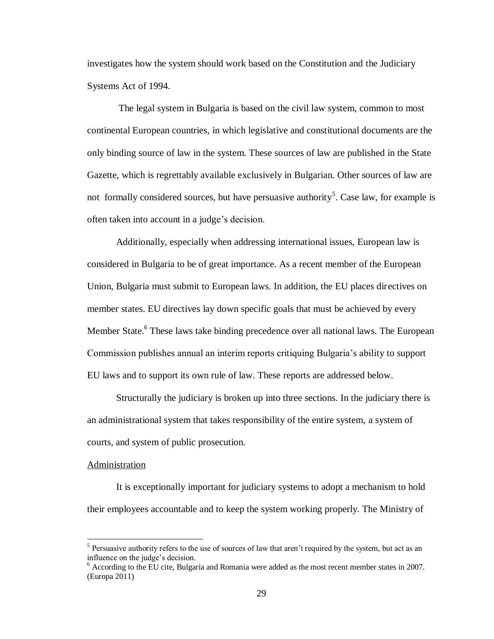investigates how the system should work based on the Constitution and the Judiciary Systems Act of 1994.

The legal system in Bulgaria is based on the civil law system, common to most continental European countries, in which legislative and constitutional documents are the only binding source of law in the system. These sources of law are published in the State Gazette, which is regrettably available exclusively in Bulgarian. Other sources of law are not formally considered sources, but have persuasive authority<sup>5</sup>. Case law, for example is often taken into account in a judge's decision.

Additionally, especially when addressing international issues, European law is considered in Bulgaria to be of great importance. As a recent member of the European Union, Bulgaria must submit to European laws. In addition, the EU places directives on member states. EU directives lay down specific goals that must be achieved by every Member State.<sup>6</sup> These laws take binding precedence over all national laws. The European Commission publishes annual an interim reports critiquing Bulgaria's ability to support EU laws and to support its own rule of law. These reports are addressed below.

Structurally the judiciary is broken up into three sections. In the judiciary there is an administrational system that takes responsibility of the entire system, a system of courts, and system of public prosecution.

#### <span id="page-32-0"></span>Administration

 $\overline{a}$ 

It is exceptionally important for judiciary systems to adopt a mechanism to hold their employees accountable and to keep the system working properly. The Ministry of

<sup>&</sup>lt;sup>5</sup> Persuasive authority refers to the use of sources of law that aren't required by the system, but act as an influence on the judge's decision.

<sup>&</sup>lt;sup>6</sup> According to the EU cite, Bulgaria and Romania were added as the most recent member states in 2007. (Europa 2011)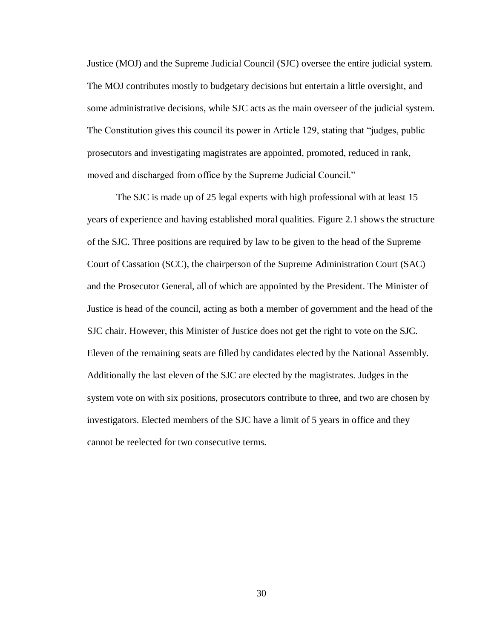Justice (MOJ) and the Supreme Judicial Council (SJC) oversee the entire judicial system. The MOJ contributes mostly to budgetary decisions but entertain a little oversight, and some administrative decisions, while SJC acts as the main overseer of the judicial system. The Constitution gives this council its power in Article 129, stating that "judges, public prosecutors and investigating magistrates are appointed, promoted, reduced in rank, moved and discharged from office by the Supreme Judicial Council."

The SJC is made up of 25 legal experts with high professional with at least 15 years of experience and having established moral qualities. Figure 2.1 shows the structure of the SJC. Three positions are required by law to be given to the head of the Supreme Court of Cassation (SCC), the chairperson of the Supreme Administration Court (SAC) and the Prosecutor General, all of which are appointed by the President. The Minister of Justice is head of the council, acting as both a member of government and the head of the SJC chair. However, this Minister of Justice does not get the right to vote on the SJC. Eleven of the remaining seats are filled by candidates elected by the National Assembly. Additionally the last eleven of the SJC are elected by the magistrates. Judges in the system vote on with six positions, prosecutors contribute to three, and two are chosen by investigators. Elected members of the SJC have a limit of 5 years in office and they cannot be reelected for two consecutive terms.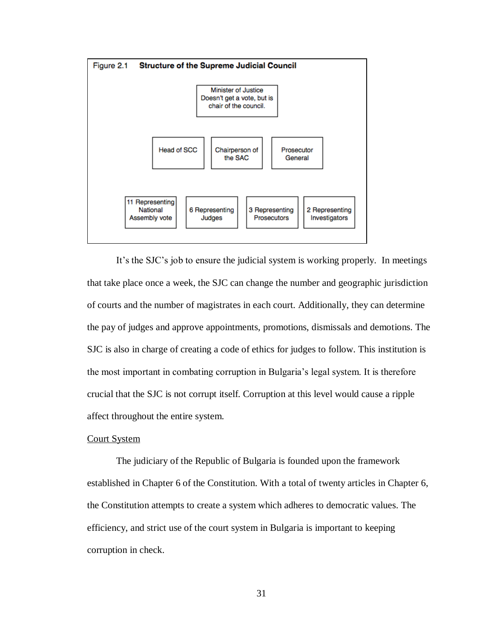

It's the SJC's job to ensure the judicial system is working properly. In meetings that take place once a week, the SJC can change the number and geographic jurisdiction of courts and the number of magistrates in each court. Additionally, they can determine the pay of judges and approve appointments, promotions, dismissals and demotions. The SJC is also in charge of creating a code of ethics for judges to follow. This institution is the most important in combating corruption in Bulgaria's legal system. It is therefore crucial that the SJC is not corrupt itself. Corruption at this level would cause a ripple affect throughout the entire system.

#### <span id="page-34-0"></span>Court System

The judiciary of the Republic of Bulgaria is founded upon the framework established in Chapter 6 of the Constitution. With a total of twenty articles in Chapter 6, the Constitution attempts to create a system which adheres to democratic values. The efficiency, and strict use of the court system in Bulgaria is important to keeping corruption in check.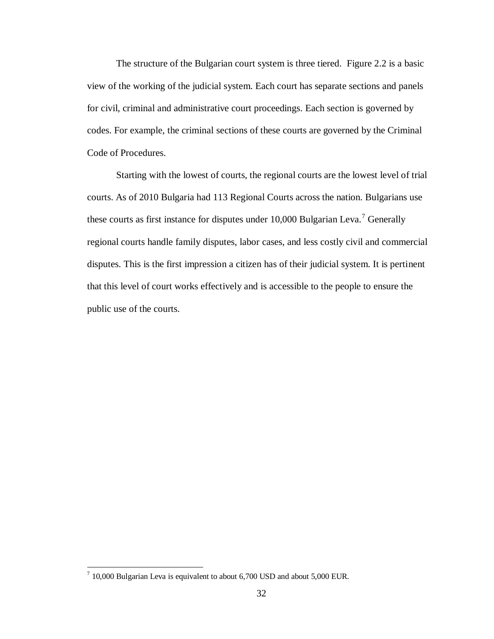The structure of the Bulgarian court system is three tiered. Figure 2.2 is a basic view of the working of the judicial system. Each court has separate sections and panels for civil, criminal and administrative court proceedings. Each section is governed by codes. For example, the criminal sections of these courts are governed by the Criminal Code of Procedures.

Starting with the lowest of courts, the regional courts are the lowest level of trial courts. As of 2010 Bulgaria had 113 Regional Courts across the nation. Bulgarians use these courts as first instance for disputes under 10,000 Bulgarian Leva.<sup>7</sup> Generally regional courts handle family disputes, labor cases, and less costly civil and commercial disputes. This is the first impression a citizen has of their judicial system. It is pertinent that this level of court works effectively and is accessible to the people to ensure the public use of the courts.

 7 10,000 Bulgarian Leva is equivalent to about 6,700 USD and about 5,000 EUR.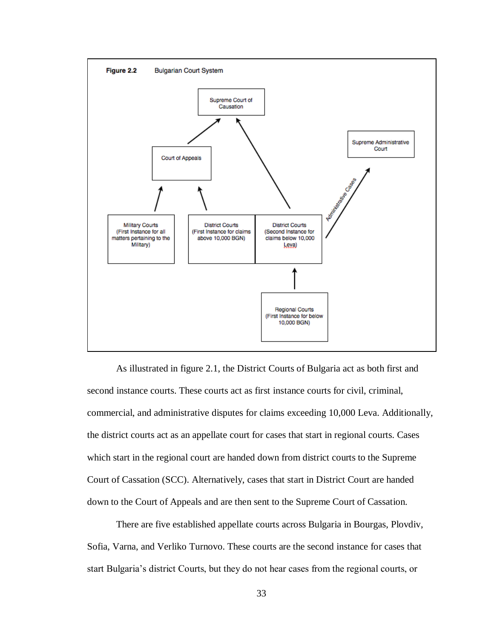

As illustrated in figure 2.1, the District Courts of Bulgaria act as both first and second instance courts. These courts act as first instance courts for civil, criminal, commercial, and administrative disputes for claims exceeding 10,000 Leva. Additionally, the district courts act as an appellate court for cases that start in regional courts. Cases which start in the regional court are handed down from district courts to the Supreme Court of Cassation (SCC). Alternatively, cases that start in District Court are handed down to the Court of Appeals and are then sent to the Supreme Court of Cassation.

There are five established appellate courts across Bulgaria in Bourgas, Plovdiv, Sofia, Varna, and Verliko Turnovo. These courts are the second instance for cases that start Bulgaria's district Courts, but they do not hear cases from the regional courts, or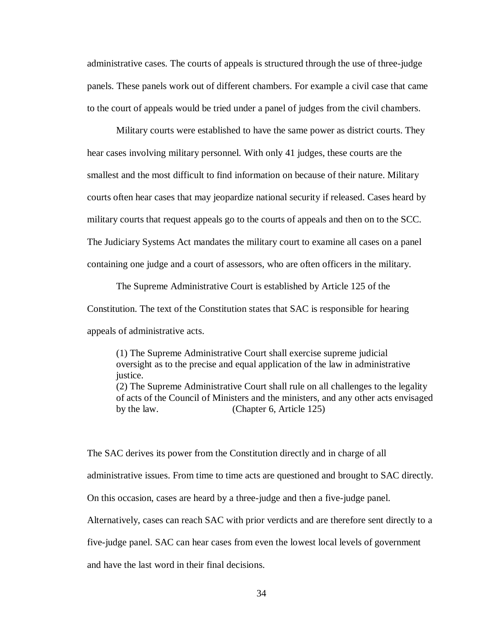administrative cases. The courts of appeals is structured through the use of three-judge panels. These panels work out of different chambers. For example a civil case that came to the court of appeals would be tried under a panel of judges from the civil chambers.

Military courts were established to have the same power as district courts. They hear cases involving military personnel. With only 41 judges, these courts are the smallest and the most difficult to find information on because of their nature. Military courts often hear cases that may jeopardize national security if released. Cases heard by military courts that request appeals go to the courts of appeals and then on to the SCC. The Judiciary Systems Act mandates the military court to examine all cases on a panel containing one judge and a court of assessors, who are often officers in the military.

The Supreme Administrative Court is established by Article 125 of the Constitution. The text of the Constitution states that SAC is responsible for hearing appeals of administrative acts.

(1) The Supreme Administrative Court shall exercise supreme judicial oversight as to the precise and equal application of the law in administrative justice. (2) The Supreme Administrative Court shall rule on all challenges to the legality

of acts of the Council of Ministers and the ministers, and any other acts envisaged by the law. (Chapter 6, Article 125)

The SAC derives its power from the Constitution directly and in charge of all

administrative issues. From time to time acts are questioned and brought to SAC directly.

On this occasion, cases are heard by a three-judge and then a five-judge panel.

Alternatively, cases can reach SAC with prior verdicts and are therefore sent directly to a

five-judge panel. SAC can hear cases from even the lowest local levels of government

and have the last word in their final decisions.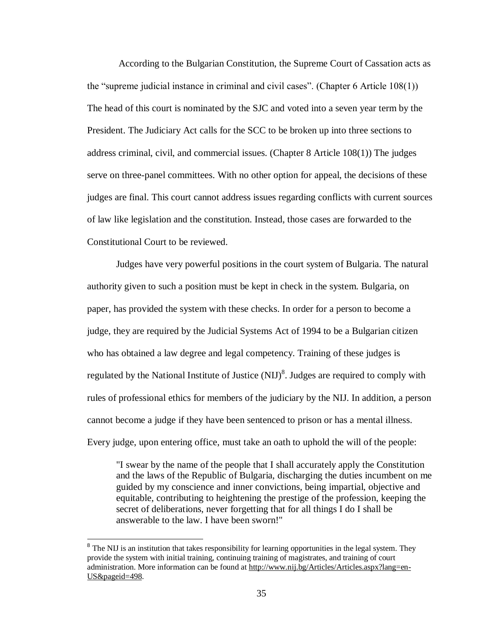According to the Bulgarian Constitution, the Supreme Court of Cassation acts as the "supreme judicial instance in criminal and civil cases". (Chapter 6 Article 108(1)) The head of this court is nominated by the SJC and voted into a seven year term by the President. The Judiciary Act calls for the SCC to be broken up into three sections to address criminal, civil, and commercial issues. (Chapter 8 Article 108(1)) The judges serve on three-panel committees. With no other option for appeal, the decisions of these judges are final. This court cannot address issues regarding conflicts with current sources of law like legislation and the constitution. Instead, those cases are forwarded to the Constitutional Court to be reviewed.

Judges have very powerful positions in the court system of Bulgaria. The natural authority given to such a position must be kept in check in the system. Bulgaria, on paper, has provided the system with these checks. In order for a person to become a judge, they are required by the Judicial Systems Act of 1994 to be a Bulgarian citizen who has obtained a law degree and legal competency. Training of these judges is regulated by the National Institute of Justice  $(NIJ)^8$ . Judges are required to comply with rules of professional ethics for members of the judiciary by the NIJ. In addition, a person cannot become a judge if they have been sentenced to prison or has a mental illness. Every judge, upon entering office, must take an oath to uphold the will of the people:

"I swear by the name of the people that I shall accurately apply the Constitution and the laws of the Republic of Bulgaria, discharging the duties incumbent on me guided by my conscience and inner convictions, being impartial, objective and equitable, contributing to heightening the prestige of the profession, keeping the secret of deliberations, never forgetting that for all things I do I shall be answerable to the law. I have been sworn!"

 $\overline{a}$ 

<sup>&</sup>lt;sup>8</sup> The NIJ is an institution that takes responsibility for learning opportunities in the legal system. They provide the system with initial training, continuing training of magistrates, and training of court administration. More information can be found at http://www.nij.bg/Articles/Articles.aspx?lang=en-US&pageid=498.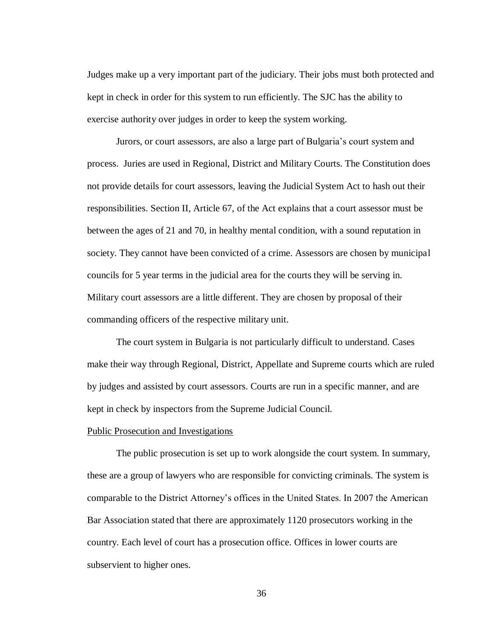Judges make up a very important part of the judiciary. Their jobs must both protected and kept in check in order for this system to run efficiently. The SJC has the ability to exercise authority over judges in order to keep the system working.

Jurors, or court assessors, are also a large part of Bulgaria's court system and process. Juries are used in Regional, District and Military Courts. The Constitution does not provide details for court assessors, leaving the Judicial System Act to hash out their responsibilities. Section II, Article 67, of the Act explains that a court assessor must be between the ages of 21 and 70, in healthy mental condition, with a sound reputation in society. They cannot have been convicted of a crime. Assessors are chosen by municipal councils for 5 year terms in the judicial area for the courts they will be serving in. Military court assessors are a little different. They are chosen by proposal of their commanding officers of the respective military unit.

The court system in Bulgaria is not particularly difficult to understand. Cases make their way through Regional, District, Appellate and Supreme courts which are ruled by judges and assisted by court assessors. Courts are run in a specific manner, and are kept in check by inspectors from the Supreme Judicial Council.

## <span id="page-39-0"></span>Public Prosecution and Investigations

The public prosecution is set up to work alongside the court system. In summary, these are a group of lawyers who are responsible for convicting criminals. The system is comparable to the District Attorney's offices in the United States. In 2007 the American Bar Association stated that there are approximately 1120 prosecutors working in the country. Each level of court has a prosecution office. Offices in lower courts are subservient to higher ones.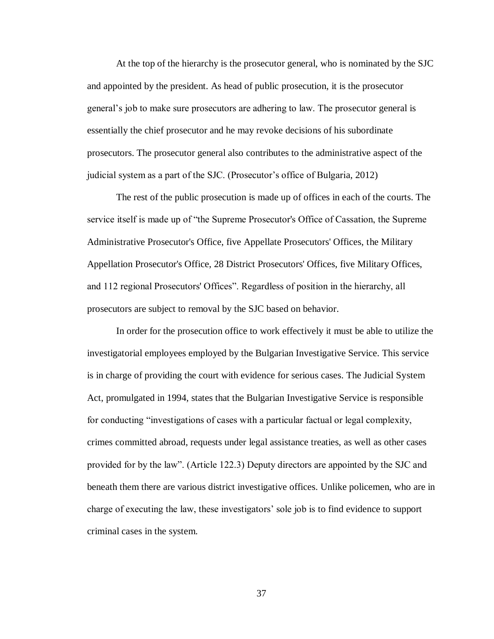At the top of the hierarchy is the prosecutor general, who is nominated by the SJC and appointed by the president. As head of public prosecution, it is the prosecutor general's job to make sure prosecutors are adhering to law. The prosecutor general is essentially the chief prosecutor and he may revoke decisions of his subordinate prosecutors. The prosecutor general also contributes to the administrative aspect of the judicial system as a part of the SJC. (Prosecutor's office of Bulgaria, 2012)

The rest of the public prosecution is made up of offices in each of the courts. The service itself is made up of "the Supreme Prosecutor's Office of Cassation, the Supreme Administrative Prosecutor's Office, five Appellate Prosecutors' Offices, the Military Appellation Prosecutor's Office, 28 District Prosecutors' Offices, five Military Offices, and 112 regional Prosecutors' Offices". Regardless of position in the hierarchy, all prosecutors are subject to removal by the SJC based on behavior.

In order for the prosecution office to work effectively it must be able to utilize the investigatorial employees employed by the Bulgarian Investigative Service. This service is in charge of providing the court with evidence for serious cases. The Judicial System Act, promulgated in 1994, states that the Bulgarian Investigative Service is responsible for conducting "investigations of cases with a particular factual or legal complexity, crimes committed abroad, requests under legal assistance treaties, as well as other cases provided for by the law". (Article 122.3) Deputy directors are appointed by the SJC and beneath them there are various district investigative offices. Unlike policemen, who are in charge of executing the law, these investigators' sole job is to find evidence to support criminal cases in the system.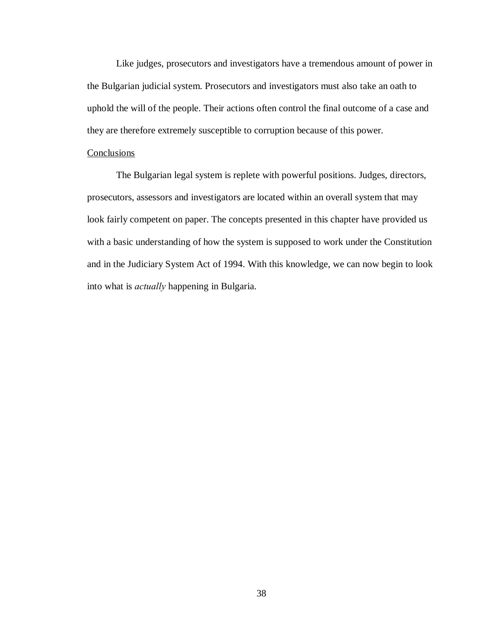Like judges, prosecutors and investigators have a tremendous amount of power in the Bulgarian judicial system. Prosecutors and investigators must also take an oath to uphold the will of the people. Their actions often control the final outcome of a case and they are therefore extremely susceptible to corruption because of this power.

### Conclusions

The Bulgarian legal system is replete with powerful positions. Judges, directors, prosecutors, assessors and investigators are located within an overall system that may look fairly competent on paper. The concepts presented in this chapter have provided us with a basic understanding of how the system is supposed to work under the Constitution and in the Judiciary System Act of 1994. With this knowledge, we can now begin to look into what is *actually* happening in Bulgaria.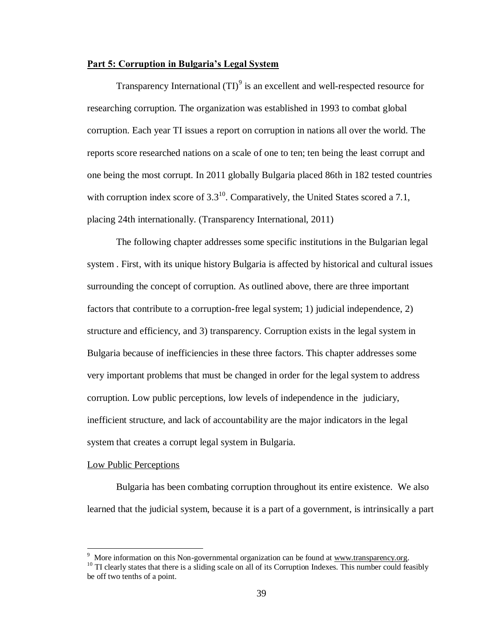## <span id="page-42-0"></span>**Part 5: Corruption in Bulgaria's Legal System**

Transparency International  $(TI)^9$  is an excellent and well-respected resource for researching corruption. The organization was established in 1993 to combat global corruption. Each year TI issues a report on corruption in nations all over the world. The reports score researched nations on a scale of one to ten; ten being the least corrupt and one being the most corrupt. In 2011 globally Bulgaria placed 86th in 182 tested countries with corruption index score of  $3.3^{10}$ . Comparatively, the United States scored a 7.1, placing 24th internationally. (Transparency International, 2011)

The following chapter addresses some specific institutions in the Bulgarian legal system . First, with its unique history Bulgaria is affected by historical and cultural issues surrounding the concept of corruption. As outlined above, there are three important factors that contribute to a corruption-free legal system; 1) judicial independence, 2) structure and efficiency, and 3) transparency. Corruption exists in the legal system in Bulgaria because of inefficiencies in these three factors. This chapter addresses some very important problems that must be changed in order for the legal system to address corruption. Low public perceptions, low levels of independence in the judiciary, inefficient structure, and lack of accountability are the major indicators in the legal system that creates a corrupt legal system in Bulgaria.

#### <span id="page-42-1"></span>Low Public Perceptions

Bulgaria has been combating corruption throughout its entire existence. We also learned that the judicial system, because it is a part of a government, is intrinsically a part

 $\overline{a}$ 

<sup>&</sup>lt;sup>9</sup> More information on this Non-governmental organization can be found at www.transparency.org. <sup>10</sup> TI clearly states that there is a sliding scale on all of its Corruption Indexes. This number could feasibly

be off two tenths of a point.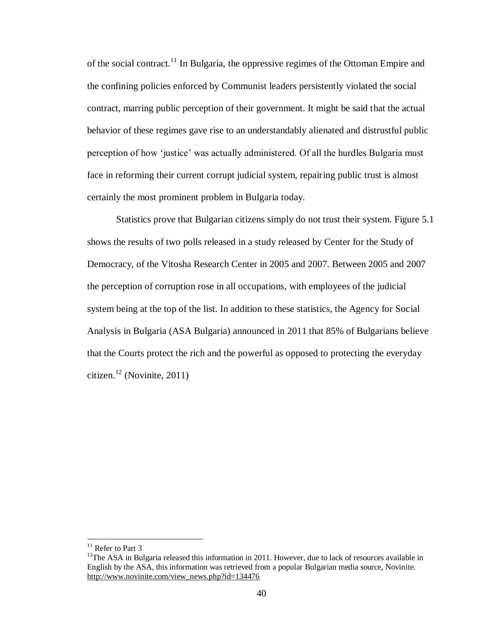of the social contract.<sup>11</sup> In Bulgaria, the oppressive regimes of the Ottoman Empire and the confining policies enforced by Communist leaders persistently violated the social contract, marring public perception of their government. It might be said that the actual behavior of these regimes gave rise to an understandably alienated and distrustful public perception of how 'justice' was actually administered. Of all the hurdles Bulgaria must face in reforming their current corrupt judicial system, repairing public trust is almost certainly the most prominent problem in Bulgaria today.

Statistics prove that Bulgarian citizens simply do not trust their system. Figure 5.1 shows the results of two polls released in a study released by Center for the Study of Democracy, of the Vitosha Research Center in 2005 and 2007. Between 2005 and 2007 the perception of corruption rose in all occupations, with employees of the judicial system being at the top of the list. In addition to these statistics, the Agency for Social Analysis in Bulgaria (ASA Bulgaria) announced in 2011 that 85% of Bulgarians believe that the Courts protect the rich and the powerful as opposed to protecting the everyday citizen.<sup>12</sup> (Novinite, 2011)

 $\overline{a}$ 

<sup>&</sup>lt;sup>11</sup> Refer to Part 3

 $12$ The ASA in Bulgaria released this information in 2011. However, due to lack of resources available in English by the ASA, this information was retrieved from a popular Bulgarian media source, Novinite. http://www.novinite.com/view\_news.php?id=134476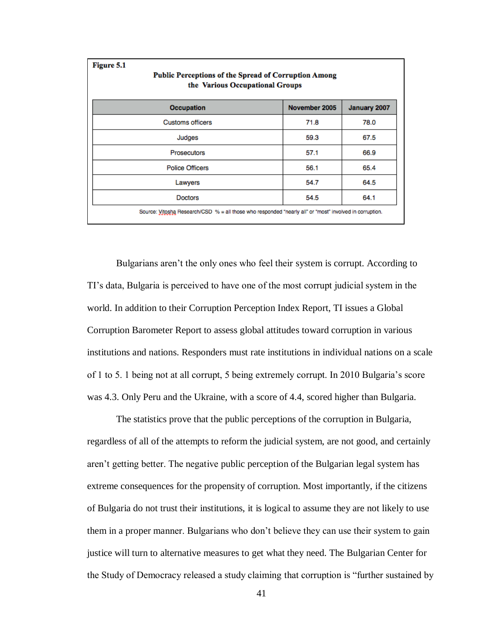| Figure 5.1<br>Public Perceptions of the Spread of Corruption Among<br>the Various Occupational Groups   |               |              |
|---------------------------------------------------------------------------------------------------------|---------------|--------------|
| <b>Occupation</b>                                                                                       | November 2005 | January 2007 |
| <b>Customs officers</b>                                                                                 | 71.8          | 78.0         |
| Judges                                                                                                  | 59.3          | 67.5         |
| <b>Prosecutors</b>                                                                                      | 57.1          | 66.9         |
| <b>Police Officers</b>                                                                                  | 56.1          | 65.4         |
| Lawyers                                                                                                 | 54.7          | 64.5         |
| <b>Doctors</b>                                                                                          | 54.5          | 64.1         |
| Source: Vitosha Research/CSD % = all those who responded "nearly all" or "most" involved in corruption. |               |              |

Bulgarians aren't the only ones who feel their system is corrupt. According to TI's data, Bulgaria is perceived to have one of the most corrupt judicial system in the world. In addition to their Corruption Perception Index Report, TI issues a Global Corruption Barometer Report to assess global attitudes toward corruption in various institutions and nations. Responders must rate institutions in individual nations on a scale of 1 to 5. 1 being not at all corrupt, 5 being extremely corrupt. In 2010 Bulgaria's score was 4.3. Only Peru and the Ukraine, with a score of 4.4, scored higher than Bulgaria.

The statistics prove that the public perceptions of the corruption in Bulgaria, regardless of all of the attempts to reform the judicial system, are not good, and certainly aren't getting better. The negative public perception of the Bulgarian legal system has extreme consequences for the propensity of corruption. Most importantly, if the citizens of Bulgaria do not trust their institutions, it is logical to assume they are not likely to use them in a proper manner. Bulgarians who don't believe they can use their system to gain justice will turn to alternative measures to get what they need. The Bulgarian Center for the Study of Democracy released a study claiming that corruption is "further sustained by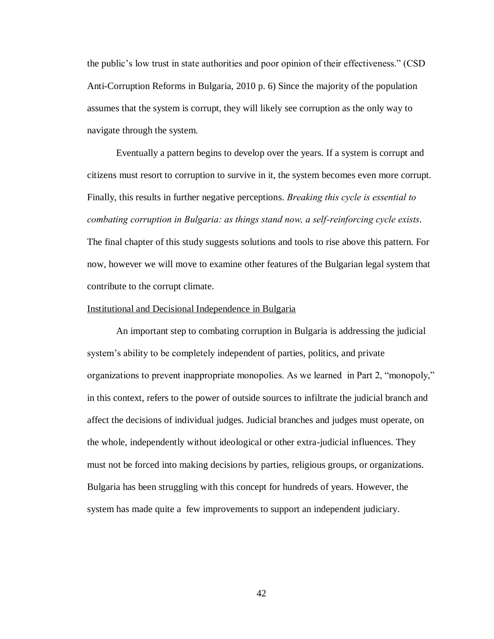the public's low trust in state authorities and poor opinion of their effectiveness." (CSD Anti-Corruption Reforms in Bulgaria, 2010 p. 6) Since the majority of the population assumes that the system is corrupt, they will likely see corruption as the only way to navigate through the system.

Eventually a pattern begins to develop over the years. If a system is corrupt and citizens must resort to corruption to survive in it, the system becomes even more corrupt. Finally, this results in further negative perceptions. *Breaking this cycle is essential to combating corruption in Bulgaria: as things stand now, a self-reinforcing cycle exists*. The final chapter of this study suggests solutions and tools to rise above this pattern. For now, however we will move to examine other features of the Bulgarian legal system that contribute to the corrupt climate.

#### Institutional and Decisional Independence in Bulgaria

An important step to combating corruption in Bulgaria is addressing the judicial system's ability to be completely independent of parties, politics, and private organizations to prevent inappropriate monopolies. As we learned in Part 2, "monopoly," in this context, refers to the power of outside sources to infiltrate the judicial branch and affect the decisions of individual judges. Judicial branches and judges must operate, on the whole, independently without ideological or other extra-judicial influences. They must not be forced into making decisions by parties, religious groups, or organizations. Bulgaria has been struggling with this concept for hundreds of years. However, the system has made quite a few improvements to support an independent judiciary.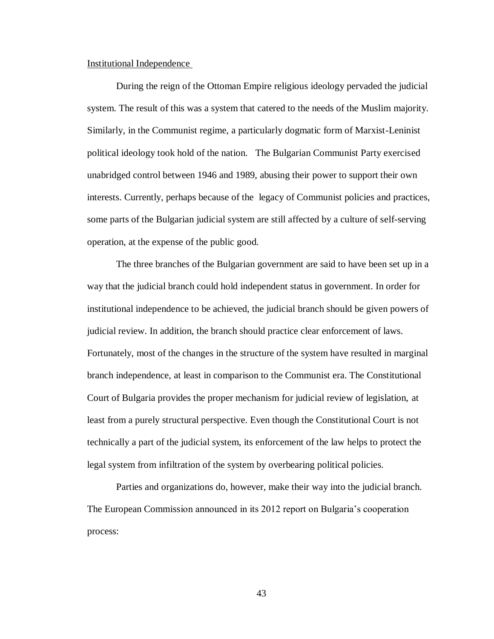#### <span id="page-46-0"></span>Institutional Independence

During the reign of the Ottoman Empire religious ideology pervaded the judicial system. The result of this was a system that catered to the needs of the Muslim majority. Similarly, in the Communist regime, a particularly dogmatic form of Marxist-Leninist political ideology took hold of the nation. The Bulgarian Communist Party exercised unabridged control between 1946 and 1989, abusing their power to support their own interests. Currently, perhaps because of the legacy of Communist policies and practices, some parts of the Bulgarian judicial system are still affected by a culture of self-serving operation, at the expense of the public good.

The three branches of the Bulgarian government are said to have been set up in a way that the judicial branch could hold independent status in government. In order for institutional independence to be achieved, the judicial branch should be given powers of judicial review. In addition, the branch should practice clear enforcement of laws. Fortunately, most of the changes in the structure of the system have resulted in marginal branch independence, at least in comparison to the Communist era. The Constitutional Court of Bulgaria provides the proper mechanism for judicial review of legislation, at least from a purely structural perspective. Even though the Constitutional Court is not technically a part of the judicial system, its enforcement of the law helps to protect the legal system from infiltration of the system by overbearing political policies.

Parties and organizations do, however, make their way into the judicial branch. The European Commission announced in its 2012 report on Bulgaria's cooperation process: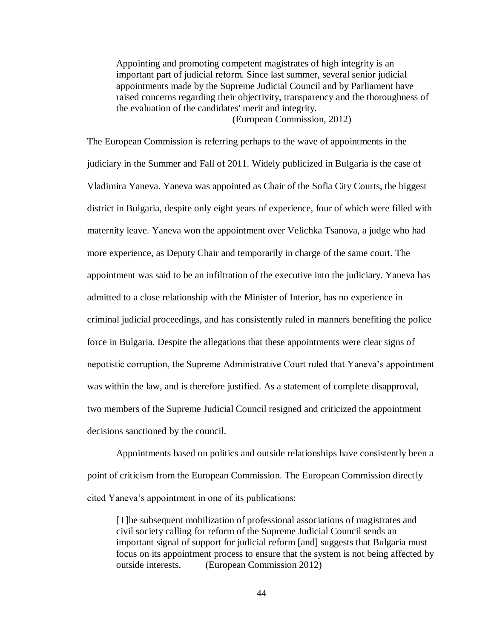Appointing and promoting competent magistrates of high integrity is an important part of judicial reform. Since last summer, several senior judicial appointments made by the Supreme Judicial Council and by Parliament have raised concerns regarding their objectivity, transparency and the thoroughness of the evaluation of the candidates' merit and integrity.

(European Commission, 2012)

The European Commission is referring perhaps to the wave of appointments in the judiciary in the Summer and Fall of 2011. Widely publicized in Bulgaria is the case of Vladimira Yaneva. Yaneva was appointed as Chair of the Sofia City Courts, the biggest district in Bulgaria, despite only eight years of experience, four of which were filled with maternity leave. Yaneva won the appointment over Velichka Tsanova, a judge who had more experience, as Deputy Chair and temporarily in charge of the same court. The appointment was said to be an infiltration of the executive into the judiciary. Yaneva has admitted to a close relationship with the Minister of Interior, has no experience in criminal judicial proceedings, and has consistently ruled in manners benefiting the police force in Bulgaria. Despite the allegations that these appointments were clear signs of nepotistic corruption, the Supreme Administrative Court ruled that Yaneva's appointment was within the law, and is therefore justified. As a statement of complete disapproval, two members of the Supreme Judicial Council resigned and criticized the appointment decisions sanctioned by the council.

Appointments based on politics and outside relationships have consistently been a point of criticism from the European Commission. The European Commission directly cited Yaneva's appointment in one of its publications:

[T]he subsequent mobilization of professional associations of magistrates and civil society calling for reform of the Supreme Judicial Council sends an important signal of support for judicial reform [and] suggests that Bulgaria must focus on its appointment process to ensure that the system is not being affected by outside interests. (European Commission 2012)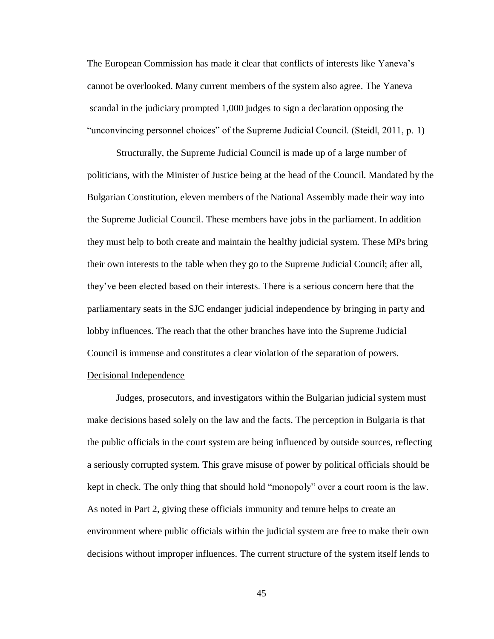The European Commission has made it clear that conflicts of interests like Yaneva's cannot be overlooked. Many current members of the system also agree. The Yaneva scandal in the judiciary prompted 1,000 judges to sign a declaration opposing the "unconvincing personnel choices" of the Supreme Judicial Council. (Steidl, 2011, p. 1)

Structurally, the Supreme Judicial Council is made up of a large number of politicians, with the Minister of Justice being at the head of the Council. Mandated by the Bulgarian Constitution, eleven members of the National Assembly made their way into the Supreme Judicial Council. These members have jobs in the parliament. In addition they must help to both create and maintain the healthy judicial system. These MPs bring their own interests to the table when they go to the Supreme Judicial Council; after all, they've been elected based on their interests. There is a serious concern here that the parliamentary seats in the SJC endanger judicial independence by bringing in party and lobby influences. The reach that the other branches have into the Supreme Judicial Council is immense and constitutes a clear violation of the separation of powers.

## <span id="page-48-0"></span>Decisional Independence

Judges, prosecutors, and investigators within the Bulgarian judicial system must make decisions based solely on the law and the facts. The perception in Bulgaria is that the public officials in the court system are being influenced by outside sources, reflecting a seriously corrupted system. This grave misuse of power by political officials should be kept in check. The only thing that should hold "monopoly" over a court room is the law. As noted in Part 2, giving these officials immunity and tenure helps to create an environment where public officials within the judicial system are free to make their own decisions without improper influences. The current structure of the system itself lends to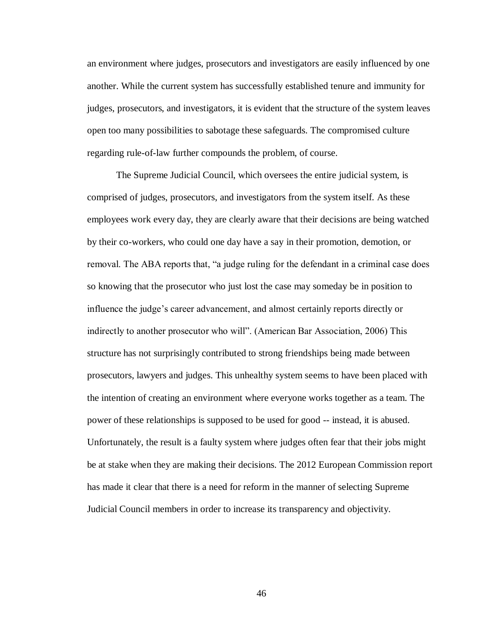an environment where judges, prosecutors and investigators are easily influenced by one another. While the current system has successfully established tenure and immunity for judges, prosecutors, and investigators, it is evident that the structure of the system leaves open too many possibilities to sabotage these safeguards. The compromised culture regarding rule-of-law further compounds the problem, of course.

The Supreme Judicial Council, which oversees the entire judicial system, is comprised of judges, prosecutors, and investigators from the system itself. As these employees work every day, they are clearly aware that their decisions are being watched by their co-workers, who could one day have a say in their promotion, demotion, or removal. The ABA reports that, "a judge ruling for the defendant in a criminal case does so knowing that the prosecutor who just lost the case may someday be in position to influence the judge's career advancement, and almost certainly reports directly or indirectly to another prosecutor who will". (American Bar Association, 2006) This structure has not surprisingly contributed to strong friendships being made between prosecutors, lawyers and judges. This unhealthy system seems to have been placed with the intention of creating an environment where everyone works together as a team. The power of these relationships is supposed to be used for good -- instead, it is abused. Unfortunately, the result is a faulty system where judges often fear that their jobs might be at stake when they are making their decisions. The 2012 European Commission report has made it clear that there is a need for reform in the manner of selecting Supreme Judicial Council members in order to increase its transparency and objectivity.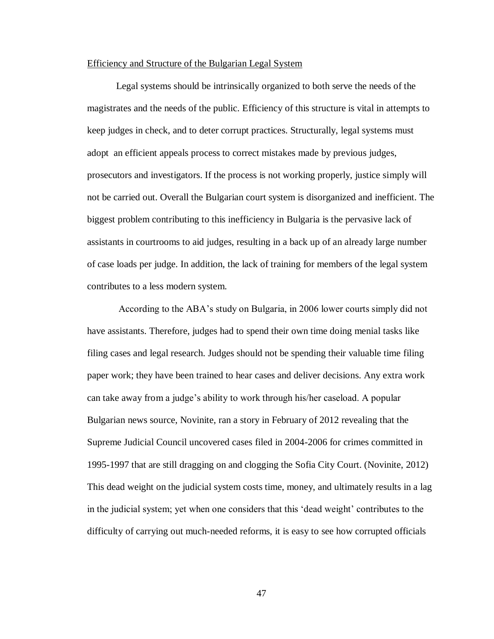#### <span id="page-50-0"></span>Efficiency and Structure of the Bulgarian Legal System

Legal systems should be intrinsically organized to both serve the needs of the magistrates and the needs of the public. Efficiency of this structure is vital in attempts to keep judges in check, and to deter corrupt practices. Structurally, legal systems must adopt an efficient appeals process to correct mistakes made by previous judges, prosecutors and investigators. If the process is not working properly, justice simply will not be carried out. Overall the Bulgarian court system is disorganized and inefficient. The biggest problem contributing to this inefficiency in Bulgaria is the pervasive lack of assistants in courtrooms to aid judges, resulting in a back up of an already large number of case loads per judge. In addition, the lack of training for members of the legal system contributes to a less modern system.

According to the ABA's study on Bulgaria, in 2006 lower courts simply did not have assistants. Therefore, judges had to spend their own time doing menial tasks like filing cases and legal research. Judges should not be spending their valuable time filing paper work; they have been trained to hear cases and deliver decisions. Any extra work can take away from a judge's ability to work through his/her caseload. A popular Bulgarian news source, Novinite, ran a story in February of 2012 revealing that the Supreme Judicial Council uncovered cases filed in 2004-2006 for crimes committed in 1995-1997 that are still dragging on and clogging the Sofia City Court. (Novinite, 2012) This dead weight on the judicial system costs time, money, and ultimately results in a lag in the judicial system; yet when one considers that this 'dead weight' contributes to the difficulty of carrying out much-needed reforms, it is easy to see how corrupted officials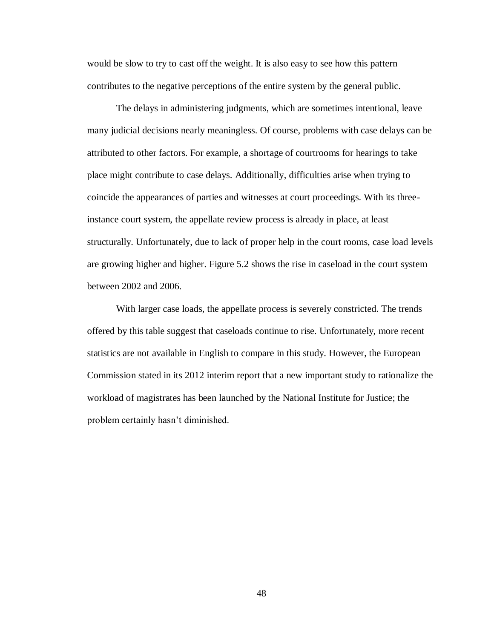would be slow to try to cast off the weight. It is also easy to see how this pattern contributes to the negative perceptions of the entire system by the general public.

The delays in administering judgments, which are sometimes intentional, leave many judicial decisions nearly meaningless. Of course, problems with case delays can be attributed to other factors. For example, a shortage of courtrooms for hearings to take place might contribute to case delays. Additionally, difficulties arise when trying to coincide the appearances of parties and witnesses at court proceedings. With its threeinstance court system, the appellate review process is already in place, at least structurally. Unfortunately, due to lack of proper help in the court rooms, case load levels are growing higher and higher. Figure 5.2 shows the rise in caseload in the court system between 2002 and 2006.

With larger case loads, the appellate process is severely constricted. The trends offered by this table suggest that caseloads continue to rise. Unfortunately, more recent statistics are not available in English to compare in this study. However, the European Commission stated in its 2012 interim report that a new important study to rationalize the workload of magistrates has been launched by the National Institute for Justice; the problem certainly hasn't diminished.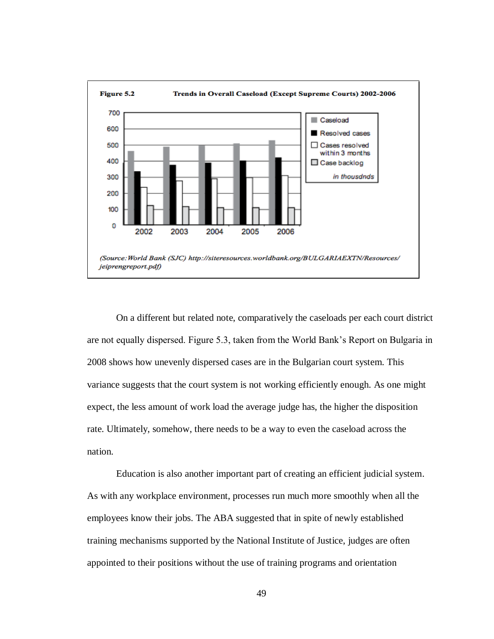

On a different but related note, comparatively the caseloads per each court district are not equally dispersed. Figure 5.3, taken from the World Bank's Report on Bulgaria in 2008 shows how unevenly dispersed cases are in the Bulgarian court system. This variance suggests that the court system is not working efficiently enough. As one might expect, the less amount of work load the average judge has, the higher the disposition rate. Ultimately, somehow, there needs to be a way to even the caseload across the nation.

Education is also another important part of creating an efficient judicial system. As with any workplace environment, processes run much more smoothly when all the employees know their jobs. The ABA suggested that in spite of newly established training mechanisms supported by the National Institute of Justice, judges are often appointed to their positions without the use of training programs and orientation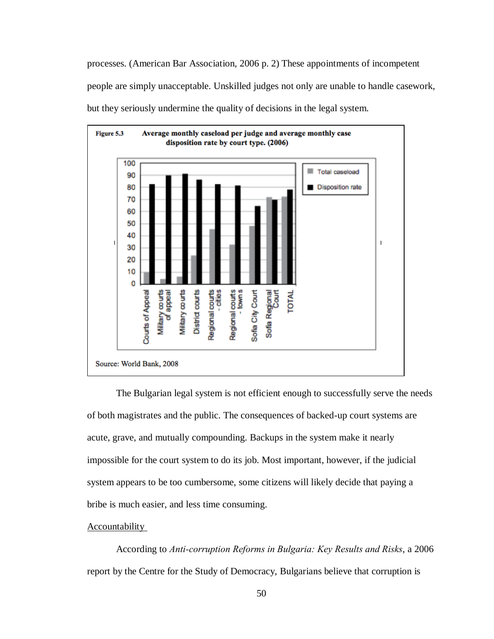processes. (American Bar Association, 2006 p. 2) These appointments of incompetent people are simply unacceptable. Unskilled judges not only are unable to handle casework, but they seriously undermine the quality of decisions in the legal system.



The Bulgarian legal system is not efficient enough to successfully serve the needs of both magistrates and the public. The consequences of backed-up court systems are acute, grave, and mutually compounding. Backups in the system make it nearly impossible for the court system to do its job. Most important, however, if the judicial system appears to be too cumbersome, some citizens will likely decide that paying a bribe is much easier, and less time consuming.

#### <span id="page-53-0"></span>Accountability

According to *Anti-corruption Reforms in Bulgaria: Key Results and Risks*, a 2006 report by the Centre for the Study of Democracy, Bulgarians believe that corruption is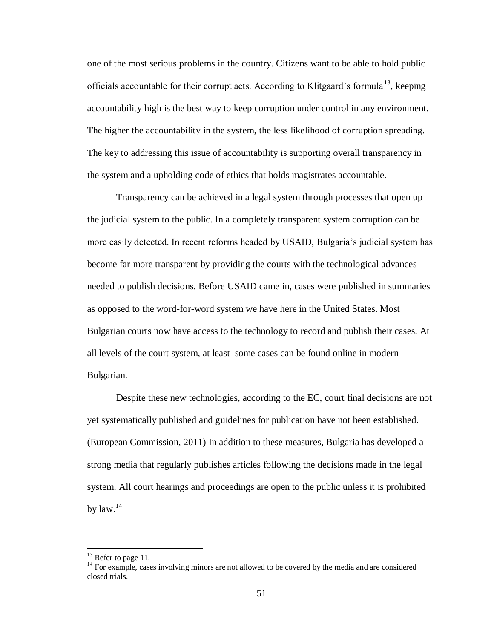one of the most serious problems in the country. Citizens want to be able to hold public officials accountable for their corrupt acts. According to Klitgaard's formula<sup>13</sup>, keeping accountability high is the best way to keep corruption under control in any environment. The higher the accountability in the system, the less likelihood of corruption spreading. The key to addressing this issue of accountability is supporting overall transparency in the system and a upholding code of ethics that holds magistrates accountable.

Transparency can be achieved in a legal system through processes that open up the judicial system to the public. In a completely transparent system corruption can be more easily detected. In recent reforms headed by USAID, Bulgaria's judicial system has become far more transparent by providing the courts with the technological advances needed to publish decisions. Before USAID came in, cases were published in summaries as opposed to the word-for-word system we have here in the United States. Most Bulgarian courts now have access to the technology to record and publish their cases. At all levels of the court system, at least some cases can be found online in modern Bulgarian.

Despite these new technologies, according to the EC, court final decisions are not yet systematically published and guidelines for publication have not been established. (European Commission, 2011) In addition to these measures, Bulgaria has developed a strong media that regularly publishes articles following the decisions made in the legal system. All court hearings and proceedings are open to the public unless it is prohibited by  $law.<sup>14</sup>$ 

 $\overline{a}$ 

<sup>&</sup>lt;sup>13</sup> Refer to page 11.

<sup>&</sup>lt;sup>14</sup> For example, cases involving minors are not allowed to be covered by the media and are considered closed trials.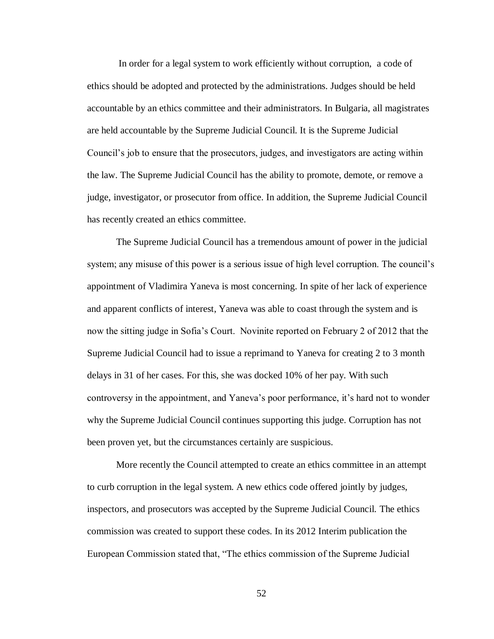In order for a legal system to work efficiently without corruption, a code of ethics should be adopted and protected by the administrations. Judges should be held accountable by an ethics committee and their administrators. In Bulgaria, all magistrates are held accountable by the Supreme Judicial Council. It is the Supreme Judicial Council's job to ensure that the prosecutors, judges, and investigators are acting within the law. The Supreme Judicial Council has the ability to promote, demote, or remove a judge, investigator, or prosecutor from office. In addition, the Supreme Judicial Council has recently created an ethics committee.

The Supreme Judicial Council has a tremendous amount of power in the judicial system; any misuse of this power is a serious issue of high level corruption. The council's appointment of Vladimira Yaneva is most concerning. In spite of her lack of experience and apparent conflicts of interest, Yaneva was able to coast through the system and is now the sitting judge in Sofia's Court. Novinite reported on February 2 of 2012 that the Supreme Judicial Council had to issue a reprimand to Yaneva for creating 2 to 3 month delays in 31 of her cases. For this, she was docked 10% of her pay. With such controversy in the appointment, and Yaneva's poor performance, it's hard not to wonder why the Supreme Judicial Council continues supporting this judge. Corruption has not been proven yet, but the circumstances certainly are suspicious.

More recently the Council attempted to create an ethics committee in an attempt to curb corruption in the legal system. A new ethics code offered jointly by judges, inspectors, and prosecutors was accepted by the Supreme Judicial Council. The ethics commission was created to support these codes. In its 2012 Interim publication the European Commission stated that, "The ethics commission of the Supreme Judicial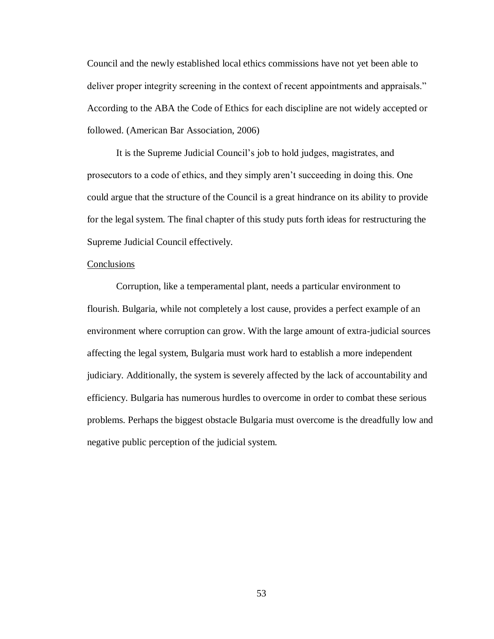Council and the newly established local ethics commissions have not yet been able to deliver proper integrity screening in the context of recent appointments and appraisals." According to the ABA the Code of Ethics for each discipline are not widely accepted or followed. (American Bar Association, 2006)

It is the Supreme Judicial Council's job to hold judges, magistrates, and prosecutors to a code of ethics, and they simply aren't succeeding in doing this. One could argue that the structure of the Council is a great hindrance on its ability to provide for the legal system. The final chapter of this study puts forth ideas for restructuring the Supreme Judicial Council effectively.

## Conclusions

Corruption, like a temperamental plant, needs a particular environment to flourish. Bulgaria, while not completely a lost cause, provides a perfect example of an environment where corruption can grow. With the large amount of extra-judicial sources affecting the legal system, Bulgaria must work hard to establish a more independent judiciary. Additionally, the system is severely affected by the lack of accountability and efficiency. Bulgaria has numerous hurdles to overcome in order to combat these serious problems. Perhaps the biggest obstacle Bulgaria must overcome is the dreadfully low and negative public perception of the judicial system.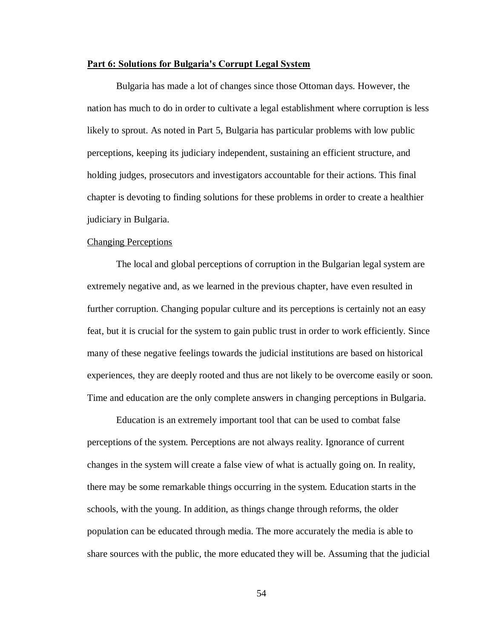#### **Part 6: Solutions for Bulgaria's Corrupt Legal System**

Bulgaria has made a lot of changes since those Ottoman days. However, the nation has much to do in order to cultivate a legal establishment where corruption is less likely to sprout. As noted in Part 5, Bulgaria has particular problems with low public perceptions, keeping its judiciary independent, sustaining an efficient structure, and holding judges, prosecutors and investigators accountable for their actions. This final chapter is devoting to finding solutions for these problems in order to create a healthier judiciary in Bulgaria.

### Changing Perceptions

The local and global perceptions of corruption in the Bulgarian legal system are extremely negative and, as we learned in the previous chapter, have even resulted in further corruption. Changing popular culture and its perceptions is certainly not an easy feat, but it is crucial for the system to gain public trust in order to work efficiently. Since many of these negative feelings towards the judicial institutions are based on historical experiences, they are deeply rooted and thus are not likely to be overcome easily or soon. Time and education are the only complete answers in changing perceptions in Bulgaria.

Education is an extremely important tool that can be used to combat false perceptions of the system. Perceptions are not always reality. Ignorance of current changes in the system will create a false view of what is actually going on. In reality, there may be some remarkable things occurring in the system. Education starts in the schools, with the young. In addition, as things change through reforms, the older population can be educated through media. The more accurately the media is able to share sources with the public, the more educated they will be. Assuming that the judicial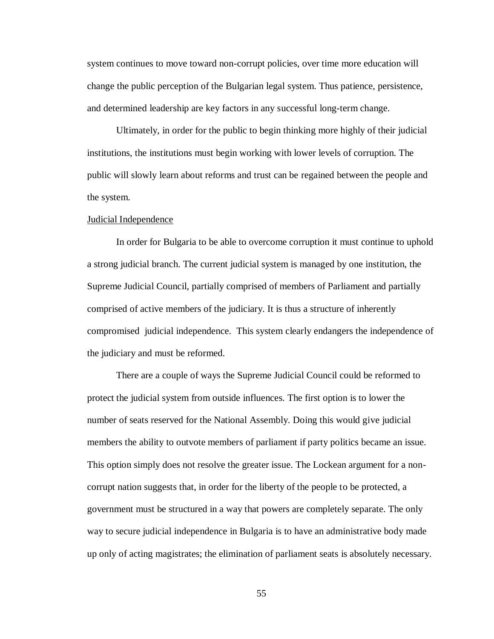system continues to move toward non-corrupt policies, over time more education will change the public perception of the Bulgarian legal system. Thus patience, persistence, and determined leadership are key factors in any successful long-term change.

Ultimately, in order for the public to begin thinking more highly of their judicial institutions, the institutions must begin working with lower levels of corruption. The public will slowly learn about reforms and trust can be regained between the people and the system.

#### Judicial Independence

In order for Bulgaria to be able to overcome corruption it must continue to uphold a strong judicial branch. The current judicial system is managed by one institution, the Supreme Judicial Council, partially comprised of members of Parliament and partially comprised of active members of the judiciary. It is thus a structure of inherently compromised judicial independence. This system clearly endangers the independence of the judiciary and must be reformed.

There are a couple of ways the Supreme Judicial Council could be reformed to protect the judicial system from outside influences. The first option is to lower the number of seats reserved for the National Assembly. Doing this would give judicial members the ability to outvote members of parliament if party politics became an issue. This option simply does not resolve the greater issue. The Lockean argument for a noncorrupt nation suggests that, in order for the liberty of the people to be protected, a government must be structured in a way that powers are completely separate. The only way to secure judicial independence in Bulgaria is to have an administrative body made up only of acting magistrates; the elimination of parliament seats is absolutely necessary.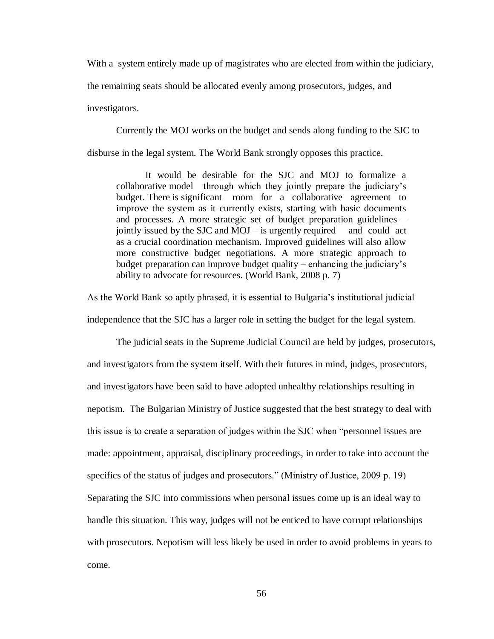With a system entirely made up of magistrates who are elected from within the judiciary,

the remaining seats should be allocated evenly among prosecutors, judges, and

investigators.

Currently the MOJ works on the budget and sends along funding to the SJC to disburse in the legal system. The World Bank strongly opposes this practice.

It would be desirable for the SJC and MOJ to formalize a collaborative model through which they jointly prepare the judiciary's budget. There is significant room for a collaborative agreement to improve the system as it currently exists, starting with basic documents and processes. A more strategic set of budget preparation guidelines – jointly issued by the SJC and  $MOJ -$  is urgently required and could act as a crucial coordination mechanism. Improved guidelines will also allow more constructive budget negotiations. A more strategic approach to budget preparation can improve budget quality – enhancing the judiciary's ability to advocate for resources. (World Bank, 2008 p. 7)

As the World Bank so aptly phrased, it is essential to Bulgaria's institutional judicial independence that the SJC has a larger role in setting the budget for the legal system.

The judicial seats in the Supreme Judicial Council are held by judges, prosecutors, and investigators from the system itself. With their futures in mind, judges, prosecutors, and investigators have been said to have adopted unhealthy relationships resulting in nepotism. The Bulgarian Ministry of Justice suggested that the best strategy to deal with this issue is to create a separation of judges within the SJC when "personnel issues are made: appointment, appraisal, disciplinary proceedings, in order to take into account the specifics of the status of judges and prosecutors." (Ministry of Justice, 2009 p. 19) Separating the SJC into commissions when personal issues come up is an ideal way to handle this situation. This way, judges will not be enticed to have corrupt relationships with prosecutors. Nepotism will less likely be used in order to avoid problems in years to come.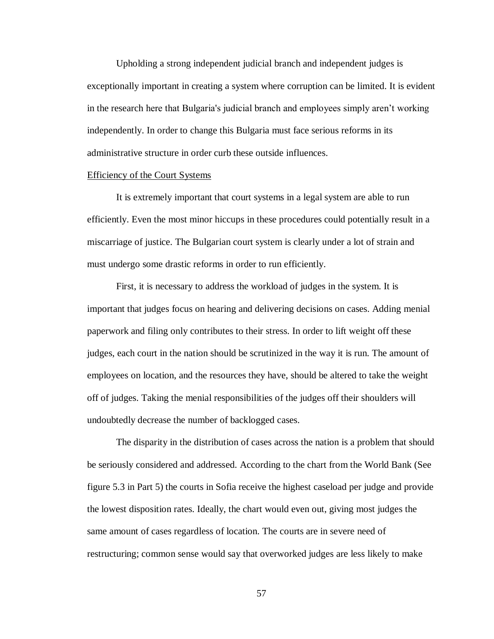Upholding a strong independent judicial branch and independent judges is exceptionally important in creating a system where corruption can be limited. It is evident in the research here that Bulgaria's judicial branch and employees simply aren't working independently. In order to change this Bulgaria must face serious reforms in its administrative structure in order curb these outside influences.

#### Efficiency of the Court Systems

It is extremely important that court systems in a legal system are able to run efficiently. Even the most minor hiccups in these procedures could potentially result in a miscarriage of justice. The Bulgarian court system is clearly under a lot of strain and must undergo some drastic reforms in order to run efficiently.

First, it is necessary to address the workload of judges in the system. It is important that judges focus on hearing and delivering decisions on cases. Adding menial paperwork and filing only contributes to their stress. In order to lift weight off these judges, each court in the nation should be scrutinized in the way it is run. The amount of employees on location, and the resources they have, should be altered to take the weight off of judges. Taking the menial responsibilities of the judges off their shoulders will undoubtedly decrease the number of backlogged cases.

The disparity in the distribution of cases across the nation is a problem that should be seriously considered and addressed. According to the chart from the World Bank (See figure 5.3 in Part 5) the courts in Sofia receive the highest caseload per judge and provide the lowest disposition rates. Ideally, the chart would even out, giving most judges the same amount of cases regardless of location. The courts are in severe need of restructuring; common sense would say that overworked judges are less likely to make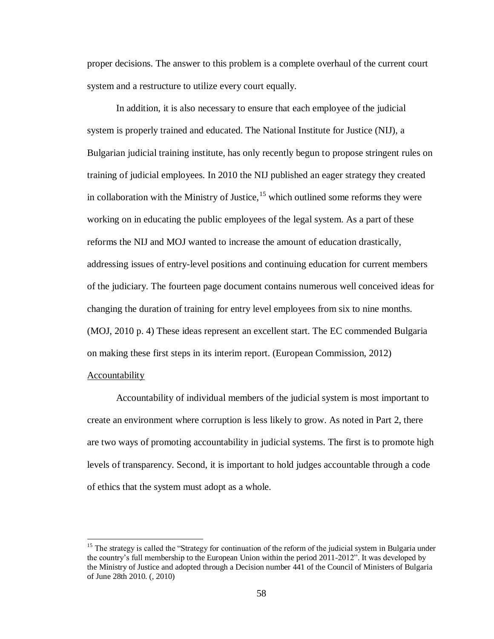proper decisions. The answer to this problem is a complete overhaul of the current court system and a restructure to utilize every court equally.

In addition, it is also necessary to ensure that each employee of the judicial system is properly trained and educated. The National Institute for Justice (NIJ), a Bulgarian judicial training institute, has only recently begun to propose stringent rules on training of judicial employees. In 2010 the NIJ published an eager strategy they created in collaboration with the Ministry of Justice,  $15$  which outlined some reforms they were working on in educating the public employees of the legal system. As a part of these reforms the NIJ and MOJ wanted to increase the amount of education drastically, addressing issues of entry-level positions and continuing education for current members of the judiciary. The fourteen page document contains numerous well conceived ideas for changing the duration of training for entry level employees from six to nine months. (MOJ, 2010 p. 4) These ideas represent an excellent start. The EC commended Bulgaria on making these first steps in its interim report. (European Commission, 2012)

## Accountability

 $\overline{a}$ 

Accountability of individual members of the judicial system is most important to create an environment where corruption is less likely to grow. As noted in Part 2, there are two ways of promoting accountability in judicial systems. The first is to promote high levels of transparency. Second, it is important to hold judges accountable through a code of ethics that the system must adopt as a whole.

<sup>&</sup>lt;sup>15</sup> The strategy is called the "Strategy for continuation of the reform of the judicial system in Bulgaria under the country's full membership to the European Union within the period 2011-2012". It was developed by the Ministry of Justice and adopted through a Decision number 441 of the Council of Ministers of Bulgaria of June 28th 2010. (, 2010)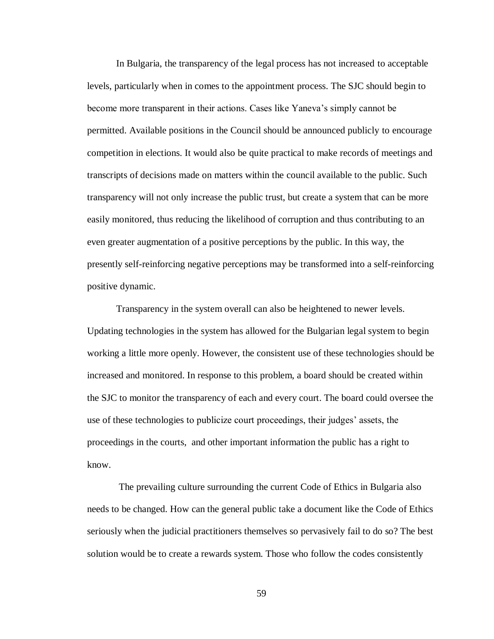In Bulgaria, the transparency of the legal process has not increased to acceptable levels, particularly when in comes to the appointment process. The SJC should begin to become more transparent in their actions. Cases like Yaneva's simply cannot be permitted. Available positions in the Council should be announced publicly to encourage competition in elections. It would also be quite practical to make records of meetings and transcripts of decisions made on matters within the council available to the public. Such transparency will not only increase the public trust, but create a system that can be more easily monitored, thus reducing the likelihood of corruption and thus contributing to an even greater augmentation of a positive perceptions by the public. In this way, the presently self-reinforcing negative perceptions may be transformed into a self-reinforcing positive dynamic.

Transparency in the system overall can also be heightened to newer levels. Updating technologies in the system has allowed for the Bulgarian legal system to begin working a little more openly. However, the consistent use of these technologies should be increased and monitored. In response to this problem, a board should be created within the SJC to monitor the transparency of each and every court. The board could oversee the use of these technologies to publicize court proceedings, their judges' assets, the proceedings in the courts, and other important information the public has a right to know.

The prevailing culture surrounding the current Code of Ethics in Bulgaria also needs to be changed. How can the general public take a document like the Code of Ethics seriously when the judicial practitioners themselves so pervasively fail to do so? The best solution would be to create a rewards system. Those who follow the codes consistently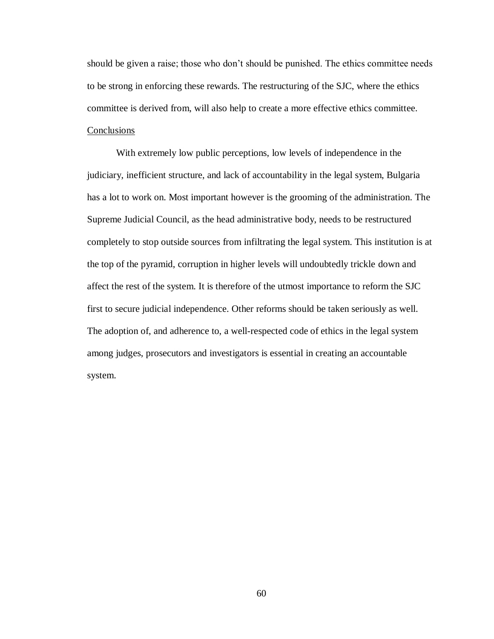should be given a raise; those who don't should be punished. The ethics committee needs to be strong in enforcing these rewards. The restructuring of the SJC, where the ethics committee is derived from, will also help to create a more effective ethics committee. Conclusions

With extremely low public perceptions, low levels of independence in the judiciary, inefficient structure, and lack of accountability in the legal system, Bulgaria has a lot to work on. Most important however is the grooming of the administration. The Supreme Judicial Council, as the head administrative body, needs to be restructured completely to stop outside sources from infiltrating the legal system. This institution is at the top of the pyramid, corruption in higher levels will undoubtedly trickle down and affect the rest of the system. It is therefore of the utmost importance to reform the SJC first to secure judicial independence. Other reforms should be taken seriously as well. The adoption of, and adherence to, a well-respected code of ethics in the legal system among judges, prosecutors and investigators is essential in creating an accountable system.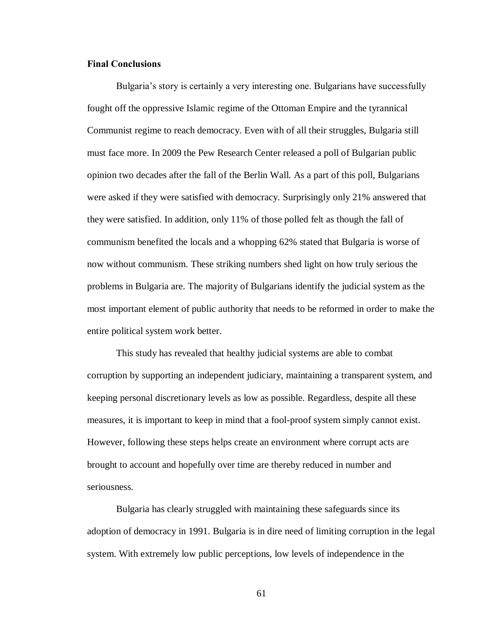## <span id="page-64-0"></span>**Final Conclusions**

Bulgaria's story is certainly a very interesting one. Bulgarians have successfully fought off the oppressive Islamic regime of the Ottoman Empire and the tyrannical Communist regime to reach democracy. Even with of all their struggles, Bulgaria still must face more. In 2009 the Pew Research Center released a poll of Bulgarian public opinion two decades after the fall of the Berlin Wall. As a part of this poll, Bulgarians were asked if they were satisfied with democracy. Surprisingly only 21% answered that they were satisfied. In addition, only 11% of those polled felt as though the fall of communism benefited the locals and a whopping 62% stated that Bulgaria is worse of now without communism. These striking numbers shed light on how truly serious the problems in Bulgaria are. The majority of Bulgarians identify the judicial system as the most important element of public authority that needs to be reformed in order to make the entire political system work better.

This study has revealed that healthy judicial systems are able to combat corruption by supporting an independent judiciary, maintaining a transparent system, and keeping personal discretionary levels as low as possible. Regardless, despite all these measures, it is important to keep in mind that a fool-proof system simply cannot exist. However, following these steps helps create an environment where corrupt acts are brought to account and hopefully over time are thereby reduced in number and seriousness.

Bulgaria has clearly struggled with maintaining these safeguards since its adoption of democracy in 1991. Bulgaria is in dire need of limiting corruption in the legal system. With extremely low public perceptions, low levels of independence in the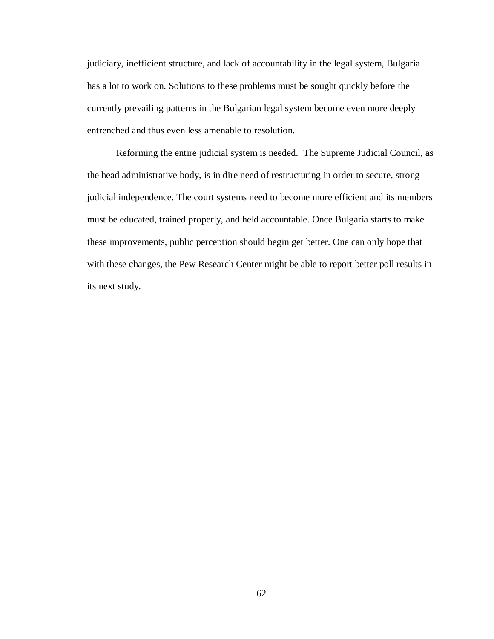judiciary, inefficient structure, and lack of accountability in the legal system, Bulgaria has a lot to work on. Solutions to these problems must be sought quickly before the currently prevailing patterns in the Bulgarian legal system become even more deeply entrenched and thus even less amenable to resolution.

Reforming the entire judicial system is needed. The Supreme Judicial Council, as the head administrative body, is in dire need of restructuring in order to secure, strong judicial independence. The court systems need to become more efficient and its members must be educated, trained properly, and held accountable. Once Bulgaria starts to make these improvements, public perception should begin get better. One can only hope that with these changes, the Pew Research Center might be able to report better poll results in its next study.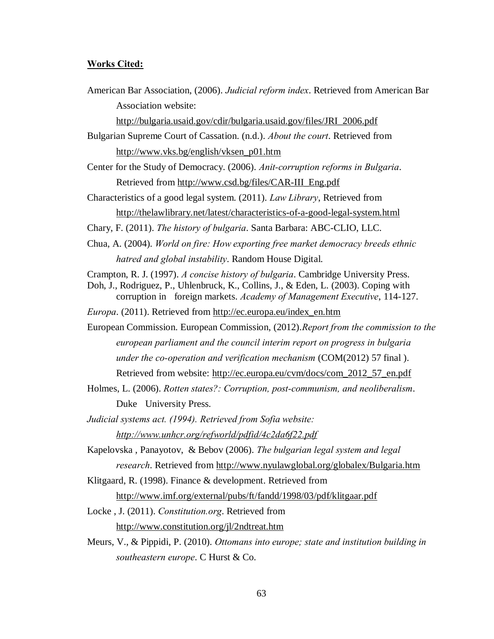#### <span id="page-66-0"></span>**Works Cited:**

American Bar Association, (2006). *Judicial reform index*. Retrieved from American Bar Association website:

[http://bulgaria.usaid.gov/cdir/bulgaria.usaid.gov/files/JRI\\_2006.pdf](http://bulgaria.usaid.gov/cdir/bulgaria.usaid.gov/files/JRI_2006.pdf)

Bulgarian Supreme Court of Cassation. (n.d.). *About the court*. Retrieved from [http://www.vks.bg/english/vksen\\_p01.htm](http://www.vks.bg/english/vksen_p01.htm)

Center for the Study of Democracy. (2006). *Anit-corruption reforms in Bulgaria*. Retrieved from [http://www.csd.bg/files/CAR-III\\_Eng.pdf](http://www.csd.bg/files/CAR-III_Eng.pdf)

Characteristics of a good legal system. (2011). *Law Library*, Retrieved from <http://thelawlibrary.net/latest/characteristics-of-a-good-legal-system.html>

Chary, F. (2011). *The history of bulgaria*. Santa Barbara: ABC-CLIO, LLC.

Chua, A. (2004). *World on fire: How exporting free market democracy breeds ethnic hatred and global instability*. Random House Digital.

Crampton, R. J. (1997). *A concise history of bulgaria*. Cambridge University Press.

Doh, J., Rodriguez, P., Uhlenbruck, K., Collins, J., & Eden, L. (2003). Coping with corruption in foreign markets. *Academy of Management Executive*, 114-127.

*Europa*. (2011). Retrieved from [http://ec.europa.eu/index\\_en.htm](http://ec.europa.eu/index_en.htm)

European Commission. European Commission, (2012).*Report from the commission to the european parliament and the council interim report on progress in bulgaria under the co-operation and verification mechanism* (COM(2012) 57 final ). Retrieved from website: [http://ec.europa.eu/cvm/docs/com\\_2012\\_57\\_en.pdf](http://ec.europa.eu/cvm/docs/com_2012_57_en.pdf)

Holmes, L. (2006). *Rotten states?: Corruption, post-communism, and neoliberalism*. Duke University Press.

*Judicial systems act. (1994). Retrieved from Sofia website: <http://www.unhcr.org/refworld/pdfid/4c2da6f22.pdf>*

- Kapelovska , Panayotov, & Bebov (2006). *The bulgarian legal system and legal research*. Retrieved from<http://www.nyulawglobal.org/globalex/Bulgaria.htm>
- Klitgaard, R. (1998). Finance & development. Retrieved from

<http://www.imf.org/external/pubs/ft/fandd/1998/03/pdf/klitgaar.pdf>

Locke , J. (2011). *Constitution.org*. Retrieved from <http://www.constitution.org/jl/2ndtreat.htm>

Meurs, V., & Pippidi, P. (2010). *Ottomans into europe; state and institution building in southeastern europe*. C Hurst & Co.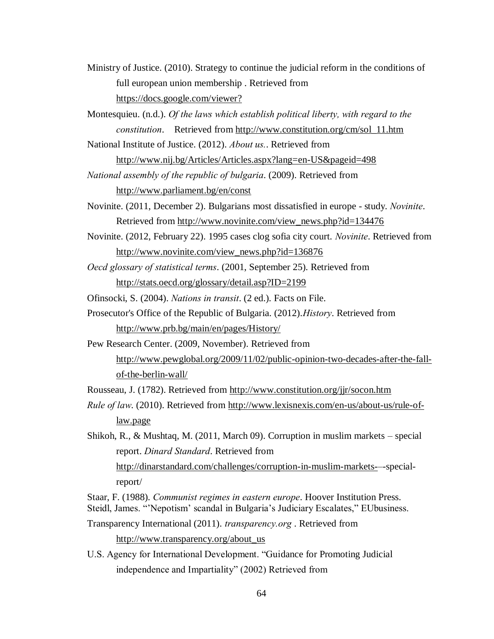- Ministry of Justice. (2010). Strategy to continue the judicial reform in the conditions of full european union membership . Retrieved from <https://docs.google.com/viewer?>
- Montesquieu. (n.d.). *Of the laws which establish political liberty, with regard to the constitution*. Retrieved from [http://www.constitution.org/cm/sol\\_11.htm](http://www.constitution.org/cm/sol_11.htm)

National Institute of Justice. (2012). *About us.*. Retrieved from

<http://www.nij.bg/Articles/Articles.aspx?lang=en-US&pageid=498>

*National assembly of the republic of bulgaria*. (2009). Retrieved from <http://www.parliament.bg/en/const>

- Novinite. (2011, December 2). Bulgarians most dissatisfied in europe study. *Novinite*. Retrieved from [http://www.novinite.com/view\\_news.php?id=134476](http://www.novinite.com/view_news.php?id=134476)
- Novinite. (2012, February 22). 1995 cases clog sofia city court. *Novinite*. Retrieved from [http://www.novinite.com/view\\_news.php?id=136876](http://www.novinite.com/view_news.php?id=136876)
- *Oecd glossary of statistical terms*. (2001, September 25). Retrieved from <http://stats.oecd.org/glossary/detail.asp?ID=2199>

Ofinsocki, S. (2004). *Nations in transit*. (2 ed.). Facts on File.

- Prosecutor's Office of the Republic of Bulgaria. (2012).*History*. Retrieved from <http://www.prb.bg/main/en/pages/History/>
- Pew Research Center. (2009, November). Retrieved from [http://www.pewglobal.org/2009/11/02/public-opinion-two-decades-after-the-fall](http://www.pewglobal.org/2009/11/02/public-opinion-two-decades-after-the-fall-of-the-berlin-wall/)[of-the-berlin-wall/](http://www.pewglobal.org/2009/11/02/public-opinion-two-decades-after-the-fall-of-the-berlin-wall/)

Rousseau, J. (1782). Retrieved from<http://www.constitution.org/jjr/socon.htm>

*Rule of law*. (2010). Retrieved from [http://www.lexisnexis.com/en-us/about-us/rule-of](http://www.lexisnexis.com/en-us/about-us/rule-of-law.page)[law.page](http://www.lexisnexis.com/en-us/about-us/rule-of-law.page)

Shikoh, R., & Mushtaq, M. (2011, March 09). Corruption in muslim markets – special report. *Dinard Standard*. Retrieved from [http://dinarstandard.com/challenges/corruption-in-muslim-markets-–](http://dinarstandard.com/challenges/corruption-in-muslim-markets-)-specialreport/

Staar, F. (1988). *Communist regimes in eastern europe*. Hoover Institution Press. Steidl, James. "'Nepotism' scandal in Bulgaria's Judiciary Escalates," EUbusiness.

- Transparency International (2011). *transparency.org* . Retrieved from [http://www.transparency.org/about\\_us](http://www.transparency.org/about_us)
- U.S. Agency for International Development. "Guidance for Promoting Judicial independence and Impartiality" (2002) Retrieved from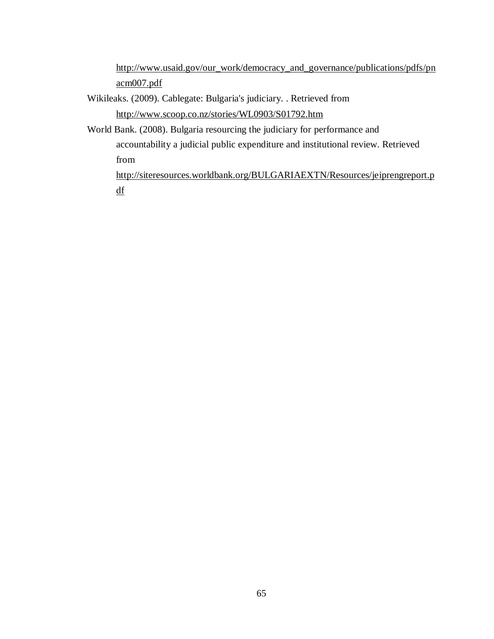[http://www.usaid.gov/our\\_work/democracy\\_and\\_governance/publications/pdfs/pn](http://www.usaid.gov/our_work/democracy_and_governance/publications/pdfs/pnacm007.pdf) [acm007.pdf](http://www.usaid.gov/our_work/democracy_and_governance/publications/pdfs/pnacm007.pdf)

- Wikileaks. (2009). Cablegate: Bulgaria's judiciary. . Retrieved from <http://www.scoop.co.nz/stories/WL0903/S01792.htm>
- World Bank. (2008). Bulgaria resourcing the judiciary for performance and accountability a judicial public expenditure and institutional review. Retrieved from [http://siteresources.worldbank.org/BULGARIAEXTN/Resources/jeiprengreport.p](http://siteresources.worldbank.org/BULGARIAEXTN/Resources/jeiprengreport.pdf)

[df](http://siteresources.worldbank.org/BULGARIAEXTN/Resources/jeiprengreport.pdf)